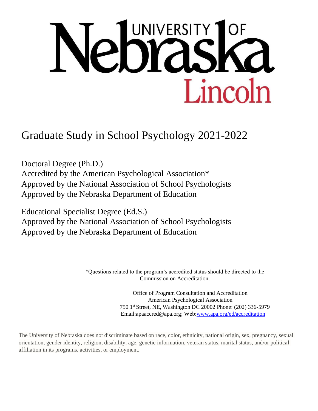# **UNIVERSITY**  $e_0$ Lincoln

Graduate Study in School Psychology 2021-2022

Doctoral Degree (Ph.D.) Accredited by the American Psychological Association\* Approved by the National Association of School Psychologists Approved by the Nebraska Department of Education

Educational Specialist Degree (Ed.S.) Approved by the National Association of School Psychologists Approved by the Nebraska Department of Education

> \*Questions related to the program's accredited status should be directed to the Commission on Accreditation.

> > Office of Program Consultation and Accreditation American Psychological Association 750 1st Street, NE, Washington DC 20002 Phone: (202) 336-5979 Email[:apaaccred@apa.org;](mailto:apaaccred@apa.org) Web[:www.apa.org/ed/accreditation](http://www.apa.org/ed/accreditation)

The University of Nebraska does not discriminate based on race, color, ethnicity, national origin, sex, pregnancy, sexual orientation, gender identity, religion, disability, age, genetic information, veteran status, marital status, and/or political affiliation in its programs, activities, or employment.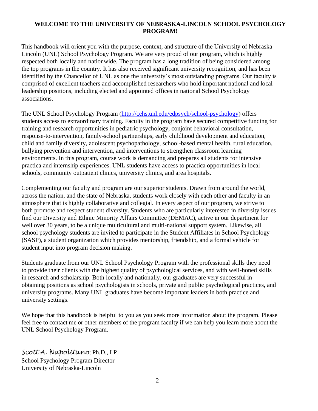## **WELCOME TO THE UNIVERSITY OF NEBRASKA-LINCOLN SCHOOL PSYCHOLOGY PROGRAM!**

This handbook will orient you with the purpose, context, and structure of the University of Nebraska Lincoln (UNL) School Psychology Program. We are very proud of our program, which is highly respected both locally and nationwide. The program has a long tradition of being considered among the top programs in the country. It has also received significant university recognition, and has been identified by the Chancellor of UNL as one the university's most outstanding programs. Our faculty is comprised of excellent teachers and accomplished researchers who hold important national and local leadership positions, including elected and appointed offices in national School Psychology associations.

The UNL School Psychology Program [\(http://cehs.unl.edu/edpsych/school-psychology\) o](http://cehs.unl.edu/edpsych/school-psychology)ffers students access to extraordinary training. Faculty in the program have secured competitive funding for training and research opportunities in pediatric psychology, conjoint behavioral consultation, response-to-intervention, family-school partnerships, early childhood development and education, child and family diversity, adolescent psychopathology, school-based mental health, rural education, bullying prevention and intervention, and interventions to strengthen classroom learning environments. In this program, course work is demanding and prepares all students for intensive practica and internship experiences. UNL students have access to practica opportunities in local schools, community outpatient clinics, university clinics, and area hospitals.

Complementing our faculty and program are our superior students. Drawn from around the world, across the nation, and the state of Nebraska, students work closely with each other and faculty in an atmosphere that is highly collaborative and collegial. In every aspect of our program, we strive to both promote and respect student diversity. Students who are particularly interested in diversity issues find our Diversity and Ethnic Minority Affairs Committee (DEMAC), active in our department for well over 30 years, to be a unique multicultural and multi-national support system. Likewise, all school psychology students are invited to participate in the Student Affiliates in School Psychology (SASP), a student organization which provides mentorship, friendship, and a formal vehicle for student input into program decision making.

Students graduate from our UNL School Psychology Program with the professional skills they need to provide their clients with the highest quality of psychological services, and with well-honed skills in research and scholarship. Both locally and nationally, our graduates are very successful in obtaining positions as school psychologists in schools, private and public psychological practices, and university programs. Many UNL graduates have become important leaders in both practice and university settings.

We hope that this handbook is helpful to you as you seek more information about the program. Please feel free to contact me or other members of the program faculty if we can help you learn more about the UNL School Psychology Program.

*Scott A. Napolitano*, Ph.D., LP School Psychology Program Director University of Nebraska-Lincoln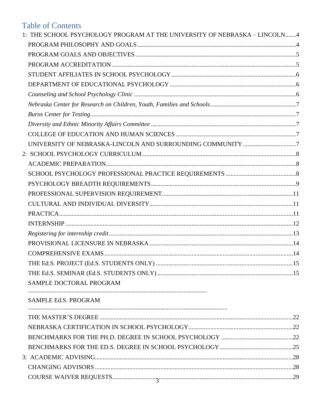# **Table of Contents**

| 1: THE SCHOOL PSYCHOLOGY PROGRAM AT THE UNIVERSITY OF NEBRASKA - LINCOLN4 |  |
|---------------------------------------------------------------------------|--|
|                                                                           |  |
|                                                                           |  |
|                                                                           |  |
|                                                                           |  |
|                                                                           |  |
|                                                                           |  |
|                                                                           |  |
|                                                                           |  |
|                                                                           |  |
|                                                                           |  |
|                                                                           |  |
|                                                                           |  |
|                                                                           |  |
|                                                                           |  |
|                                                                           |  |
|                                                                           |  |
|                                                                           |  |
|                                                                           |  |
|                                                                           |  |
|                                                                           |  |
|                                                                           |  |
|                                                                           |  |
|                                                                           |  |
|                                                                           |  |
| SAMPLE DOCTORAL PROGRAM                                                   |  |
| SAMPLE Ed.S. PROGRAM                                                      |  |
|                                                                           |  |
|                                                                           |  |
|                                                                           |  |
|                                                                           |  |
|                                                                           |  |
|                                                                           |  |
|                                                                           |  |
|                                                                           |  |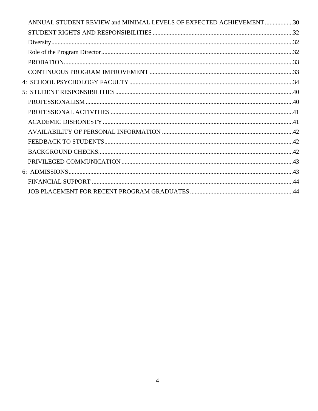| ANNUAL STUDENT REVIEW and MINIMAL LEVELS OF EXPECTED ACHIEVEMENT30 |  |
|--------------------------------------------------------------------|--|
|                                                                    |  |
|                                                                    |  |
|                                                                    |  |
|                                                                    |  |
|                                                                    |  |
|                                                                    |  |
|                                                                    |  |
|                                                                    |  |
|                                                                    |  |
|                                                                    |  |
|                                                                    |  |
|                                                                    |  |
|                                                                    |  |
|                                                                    |  |
|                                                                    |  |
|                                                                    |  |
|                                                                    |  |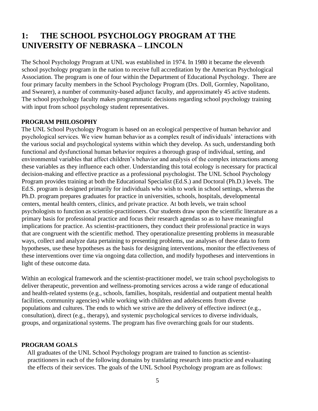## **1: THE SCHOOL PSYCHOLOGY PROGRAM AT THE UNIVERSITY OF NEBRASKA – LINCOLN**

The School Psychology Program at UNL was established in 1974. In 1980 it became the eleventh school psychology program in the nation to receive full accreditation by the American Psychological Association. The program is one of four within the Department of Educational Psychology. There are four primary faculty members in the School Psychology Program (Drs. Doll, Gormley, Napolitano, and Swearer), a number of community-based adjunct faculty, and approximately 45 active students. The school psychology faculty makes programmatic decisions regarding school psychology training with input from school psychology student representatives.

## **PROGRAM PHILOSOPHY**

The UNL School Psychology Program is based on an ecological perspective of human behavior and psychological services. We view human behavior as a complex result of individuals' interactions with the various social and psychological systems within which they develop. As such, understanding both functional and dysfunctional human behavior requires a thorough grasp of individual, setting, and environmental variables that affect children's behavior and analysis of the complex interactions among these variables as they influence each other. Understanding this total ecology is necessary for practical decision-making and effective practice as a professional psychologist. The UNL School Psychology Program provides training at both the Educational Specialist (Ed.S.) and Doctoral (Ph.D.) levels. The Ed.S. program is designed primarily for individuals who wish to work in school settings, whereas the Ph.D. program prepares graduates for practice in universities, schools, hospitals, developmental centers, mental health centers, clinics, and private practice. At both levels, we train school psychologists to function as scientist-practitioners. Our students draw upon the scientific literature as a primary basis for professional practice and focus their research agendas so as to have meaningful implications for practice. As scientist-practitioners, they conduct their professional practice in ways that are congruent with the scientific method. They operationalize presenting problems in measurable ways, collect and analyze data pertaining to presenting problems, use analyses of these data to form hypotheses, use these hypotheses as the basis for designing interventions, monitor the effectiveness of these interventions over time via ongoing data collection, and modify hypotheses and interventions in light of these outcome data.

Within an ecological framework and the scientist-practitioner model, we train school psychologists to deliver therapeutic, prevention and wellness-promoting services across a wide range of educational and health-related systems (e.g., schools, families, hospitals, residential and outpatient mental health facilities, community agencies) while working with children and adolescents from diverse populations and cultures. The ends to which we strive are the delivery of effective indirect (e.g., consultation), direct (e.g., therapy), and systemic psychological services to diverse individuals, groups, and organizational systems. The program has five overarching goals for our students.

## **PROGRAM GOALS**

All graduates of the UNL School Psychology program are trained to function as scientistpractitioners in each of the following domains by translating research into practice and evaluating the effects of their services. The goals of the UNL School Psychology program are as follows: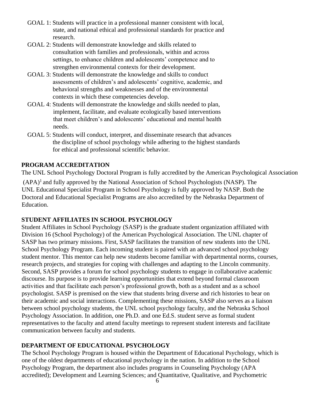- GOAL 1: Students will practice in a professional manner consistent with local, state, and national ethical and professional standards for practice and research.
- GOAL 2: Students will demonstrate knowledge and skills related to consultation with families and professionals, within and across settings, to enhance children and adolescents' competence and to strengthen environmental contexts for their development.
- GOAL 3: Students will demonstrate the knowledge and skills to conduct assessments of children's and adolescents' cognitive, academic, and behavioral strengths and weaknesses and of the environmental contexts in which these competencies develop.
- GOAL 4: Students will demonstrate the knowledge and skills needed to plan, implement, facilitate, and evaluate ecologically based interventions that meet children's and adolescents' educational and mental health needs.
- GOAL 5: Students will conduct, interpret, and disseminate research that advances the discipline of school psychology while adhering to the highest standards for ethical and professional scientific behavior.

## **PROGRAM ACCREDITATION**

The UNL School Psychology Doctoral Program is fully accredited by the American Psychological Association

 $(APA)^1$  and fully approved by the National Association of School Psychologists (NASP). The UNL Educational Specialist Program in School Psychology is fully approved by NASP. Both the Doctoral and Educational Specialist Programs are also accredited by the Nebraska Department of Education.

## **STUDENT AFFILIATES IN SCHOOL PSYCHOLOGY**

Student Affiliates in School Psychology (SASP) is the graduate student organization affiliated with Division 16 (School Psychology) of the American Psychological Association. The UNL chapter of SASP has two primary missions. First, SASP facilitates the transition of new students into the UNL School Psychology Program. Each incoming student is paired with an advanced school psychology student mentor. This mentor can help new students become familiar with departmental norms, courses, research projects, and strategies for coping with challenges and adapting to the Lincoln community. Second, SASP provides a forum for school psychology students to engage in collaborative academic discourse. Its purpose is to provide learning opportunities that extend beyond formal classroom activities and that facilitate each person's professional growth, both as a student and as a school psychologist. SASP is premised on the view that students bring diverse and rich histories to bear on their academic and social interactions. Complementing these missions, SASP also serves as a liaison between school psychology students, the UNL school psychology faculty, and the Nebraska School Psychology Association. In addition, one Ph.D. and one Ed.S. student serve as formal student representatives to the faculty and attend faculty meetings to represent student interests and facilitate communication between faculty and students.

## **DEPARTMENT OF EDUCATIONAL PSYCHOLOGY**

The School Psychology Program is housed within the Department of Educational Psychology, which is one of the oldest departments of educational psychology in the nation. In addition to the School Psychology Program, the department also includes programs in Counseling Psychology (APA accredited); Development and Learning Sciences; and Quantitative, Qualitative, and Psychometric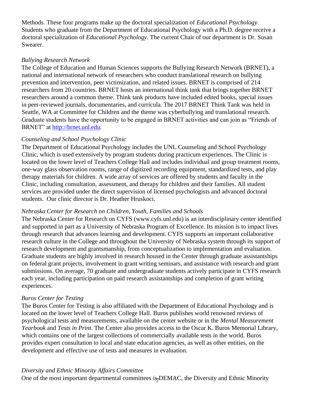Methods. These four programs make up the doctoral specialization of *Educational Psychology*. Students who graduate from the Department of Educational Psychology with a Ph.D. degree receive a doctoral specialization of *Educational Psychology*. The current Chair of our department is Dr. Susan Swearer.

## *Bullying Research Network*

The College of Education and Human Sciences supports the Bullying Research Network (BRNET), a national and international network of researchers who conduct translational research on bullying prevention and intervention, peer victimization, and related issues. BRNET is comprised of 214 researchers from 20 countries. BRNET hosts an international think tank that brings together BRNET researchers around a common theme. Think tank products have included edited books, special issues in peer-reviewed journals, documentaries, and curricula. The 2017 BRNET Think Tank was held in Seattle, WA at Committee for Children and the theme was cyberbullying and translational research. Graduate students have the opportunity to be engaged in BRNET activities and can join as "Friends of BRNET" at [http://brnet.unl.edu.](http://brnet.unl.edu/)

## *Counseling and School Psychology Clinic*

The Department of Educational Psychology includes the UNL Counseling and School Psychology Clinic, which is used extensively by program students during practicum experiences. The Clinic is located on the lower level of Teachers College Hall and includes individual and group treatment rooms, one-way glass observation rooms, range of digitized recording equipment, standardized tests, and play therapy materials for children. A wide array of services are offered by students and faculty in the Clinic, including consultation, assessment, and therapy for children and their families. All student services are provided under the direct supervision of licensed psychologists and advanced doctoral students. Our clinic director is Dr. Heather Hruskoci.

## *Nebraska Center for Research on Children, Youth, Families and Schools*

The Nebraska Center for Research on CYFS (www.cyfs.unl.edu) is an interdisciplinary center identified and supported in part as a University of Nebraska Program of Excellence. Its mission is to impact lives through research that advances learning and development. CYFS supports an important collaborative research culture in the College and throughout the University of Nebraska system through its support of research development and grantsmanship, from conceptualization to implementation and evaluation. Graduate students are highly involved in research housed in the Center through graduate assistantships on federal grant projects, involvement in grant writing seminars, and assistance with research and grant submissions. On average, 70 graduate and undergraduate students actively participate in CYFS research each year, including participation on paid research assistantships and completion of grant writing experiences.

## *Buros Center for Testing*

The Buros Center for Testing is also affiliated with the Department of Educational Psychology and is located on the lower level of Teachers College Hall. Buros publishes world renowned reviews of psychological tests and measurements, available on the center website or in the *Mental Measurement Yearbook* and *Tests in Print*. The Center also provides access to the Oscar K. Buros Memorial Library, which contains one of the largest collections of commercially available tests in the world. Buros provides expert consultation to local and state education agencies, as well as other entities, on the development and effective use of tests and measures in evaluation.

## *Diversity and Ethnic Minority Affairs Committee*

One of the most important departmental committees is DEMAC, the Diversity and Ethnic Minority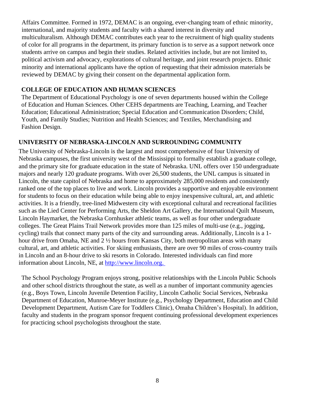Affairs Committee. Formed in 1972, DEMAC is an ongoing, ever-changing team of ethnic minority, international, and majority students and faculty with a shared interest in diversity and multiculturalism. Although DEMAC contributes each year to the recruitment of high quality students of color for all programs in the department, its primary function is to serve as a support network once students arrive on campus and begin their studies. Related activities include, but are not limited to, political activism and advocacy, explorations of cultural heritage, and joint research projects. Ethnic minority and international applicants have the option of requesting that their admission materials be reviewed by DEMAC by giving their consent on the departmental application form.

## **COLLEGE OF EDUCATION AND HUMAN SCIENCES**

The Department of Educational Psychology is one of seven departments housed within the College of Education and Human Sciences. Other CEHS departments are Teaching, Learning, and Teacher Education; Educational Administration; Special Education and Communication Disorders; Child, Youth, and Family Studies; Nutrition and Health Sciences; and Textiles, Merchandising and Fashion Design.

## **UNIVERSITY OF NEBRASKA-LINCOLN AND SURROUNDING COMMUNITY**

The University of Nebraska-Lincoln is the largest and most comprehensive of four University of Nebraska campuses, the first university west of the Mississippi to formally establish a graduate college, and the primary site for graduate education in the state of Nebraska. UNL offers over 150 undergraduate majors and nearly 120 graduate programs. With over 26,500 students, the UNL campus is situated in Lincoln, the state capitol of Nebraska and home to approximately 285,000 residents and consistently ranked one of the top places to live and work. Lincoln provides a supportive and enjoyable environment for students to focus on their education while being able to enjoy inexpensive cultural, art, and athletic activities. It is a friendly, tree-lined Midwestern city with exceptional cultural and recreational facilities such as the Lied Center for Performing Arts, the Sheldon Art Gallery, the International Quilt Museum, Lincoln Haymarket, the Nebraska Cornhusker athletic teams, as well as four other undergraduate colleges. The Great Plains Trail Network provides more than 125 miles of multi-use (e.g., jogging, cycling) trails that connect many parts of the city and surrounding areas. Additionally, Lincoln is a 1 hour drive from Omaha, NE and 2  $\frac{1}{2}$  hours from Kansas City, both metropolitan areas with many cultural, art, and athletic activities. For skiing enthusiasts, there are over 90 miles of cross-country trails in Lincoln and an 8-hour drive to ski resorts in Colorado. Interested individuals can find more information about Lincoln, NE, at [http://www.lincoln.org.](http://www.lincoln.org/)

The School Psychology Program enjoys strong, positive relationships with the Lincoln Public Schools and other school districts throughout the state, as well as a number of important community agencies (e.g., Boys Town, Lincoln Juvenile Detention Facility, Lincoln Catholic Social Services, Nebraska Department of Education, Munroe-Meyer Institute (e.g., Psychology Department, Education and Child Development Department, Autism Care for Toddlers Clinic), Omaha Children's Hospital). In addition, faculty and students in the program sponsor frequent continuing professional development experiences for practicing school psychologists throughout the state.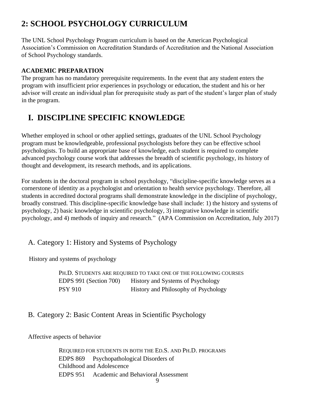# **2: SCHOOL PSYCHOLOGY CURRICULUM**

The UNL School Psychology Program curriculum is based on the American Psychological Association's Commission on Accreditation Standards of Accreditation and the National Association of School Psychology standards.

## **ACADEMIC PREPARATION**

The program has no mandatory prerequisite requirements. In the event that any student enters the program with insufficient prior experiences in psychology or education, the student and his or her advisor will create an individual plan for prerequisite study as part of the student's larger plan of study in the program.

# **I. DISCIPLINE SPECIFIC KNOWLEDGE**

Whether employed in school or other applied settings, graduates of the UNL School Psychology program must be knowledgeable, professional psychologists before they can be effective school psychologists. To build an appropriate base of knowledge, each student is required to complete advanced psychology course work that addresses the breadth of scientific psychology, its history of thought and development, its research methods, and its applications.

For students in the doctoral program in school psychology, "discipline-specific knowledge serves as a cornerstone of identity as a psychologist and orientation to health service psychology. Therefore, all students in accredited doctoral programs shall demonstrate knowledge in the discipline of psychology, broadly construed. This discipline-specific knowledge base shall include: 1) the history and systems of psychology, 2) basic knowledge in scientific psychology, 3) integrative knowledge in scientific psychology, and 4) methods of inquiry and research." (APA Commission on Accreditation, July 2017)

## A. Category 1: History and Systems of Psychology

History and systems of psychology

PH.D. STUDENTS ARE REQUIRED TO TAKE ONE OF THE FOLLOWING COURSES EDPS 991 (Section 700) History and Systems of Psychology PSY 910 History and Philosophy of Psychology

## B. Category 2: Basic Content Areas in Scientific Psychology

Affective aspects of behavior

REQUIRED FOR STUDENTS IN BOTH THE ED.S. AND PH.D. PROGRAMS EDPS 869 Psychopathological Disorders of Childhood and Adolescence EDPS 951 Academic and Behavioral Assessment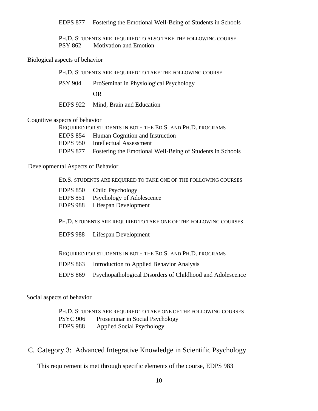EDPS 877 Fostering the Emotional Well-Being of Students in Schools

PH.D. STUDENTS ARE REQUIRED TO ALSO TAKE THE FOLLOWING COURSE PSY 862 Motivation and Emotion

#### Biological aspects of behavior

| PH.D. STUDENTS ARE REQUIRED TO TAKE THE FOLLOWING COURSE |                                        |  |
|----------------------------------------------------------|----------------------------------------|--|
| PSY 904                                                  | ProSeminar in Physiological Psychology |  |
|                                                          | OR.                                    |  |
|                                                          | EDPS 922 Mind, Brain and Education     |  |

## Cognitive aspects of behavior

| REQUIRED FOR STUDENTS IN BOTH THE ED.S. AND PH.D. PROGRAMS |                                                                    |  |  |
|------------------------------------------------------------|--------------------------------------------------------------------|--|--|
|                                                            | <b>EDPS</b> 854 Human Cognition and Instruction                    |  |  |
| EDPS 950                                                   | Intellectual Assessment                                            |  |  |
|                                                            | EDPS 877 Fostering the Emotional Well-Being of Students in Schools |  |  |

## Developmental Aspects of Behavior

ED.S. STUDENTS ARE REQUIRED TO TAKE ONE OF THE FOLLOWING COURSES

| <b>EDPS 850</b> | Child Psychology          |
|-----------------|---------------------------|
| <b>EDPS 851</b> | Psychology of Adolescence |
| <b>EDPS 988</b> | Lifespan Development      |

PH.D. STUDENTS ARE REQUIRED TO TAKE ONE OF THE FOLLOWING COURSES

EDPS 988 Lifespan Development

REQUIRED FOR STUDENTS IN BOTH THE ED.S. AND PH.D. PROGRAMS

- EDPS 863 Introduction to Applied Behavior Analysis
- EDPS 869 Psychopathological Disorders of Childhood and Adolescence

#### Social aspects of behavior

PH.D. STUDENTS ARE REQUIRED TO TAKE ONE OF THE FOLLOWING COURSES PSYC 906 Proseminar in Social Psychology EDPS 988 Applied Social Psychology

C. Category 3: Advanced Integrative Knowledge in Scientific Psychology

This requirement is met through specific elements of the course, EDPS 983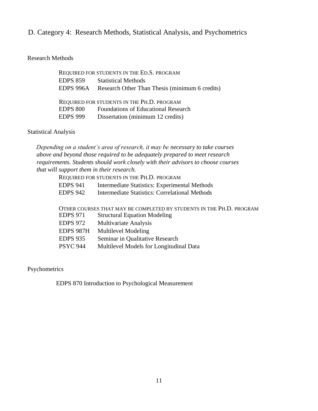## D. Category 4: Research Methods, Statistical Analysis, and Psychometrics

## Research Methods

|                 | REQUIRED FOR STUDENTS IN THE ED.S. PROGRAM     |
|-----------------|------------------------------------------------|
| <b>EDPS 859</b> | <b>Statistical Methods</b>                     |
| EDPS 996A       | Research Other Than Thesis (minimum 6 credits) |
|                 |                                                |
|                 | REQUIRED FOR STUDENTS IN THE PH.D. PROGRAM     |
| <b>EDPS 800</b> | <b>Foundations of Educational Research</b>     |
| EDPS 999        | Dissertation (minimum 12 credits)              |

## Statistical Analysis

*Depending on a student's area of research, it may be necessary to take courses above and beyond those required to be adequately prepared to meet research requirements. Students should work closely with their advisors to choose courses that will support them in their research.*

REQUIRED FOR STUDENTS IN THE PH.D. PROGRAM

| <b>EDPS 941</b> |  |  | Intermediate Statistics: Experimental Methods |  |
|-----------------|--|--|-----------------------------------------------|--|
|-----------------|--|--|-----------------------------------------------|--|

EDPS 942 Intermediate Statistics: Correlational Methods

|                 | OTHER COURSES THAT MAY BE COMPLETED BY STUDENTS IN THE PH.D. PROGRAM |
|-----------------|----------------------------------------------------------------------|
| EDPS 971        | <b>Structural Equation Modeling</b>                                  |
| EDPS 972        | <b>Multivariate Analysis</b>                                         |
|                 | EDPS 987H Multilevel Modeling                                        |
| <b>EDPS 935</b> | Seminar in Qualitative Research                                      |
| PSYC 944        | Multilevel Models for Longitudinal Data                              |
|                 |                                                                      |

Psychometrics

EDPS 870 Introduction to Psychological Measurement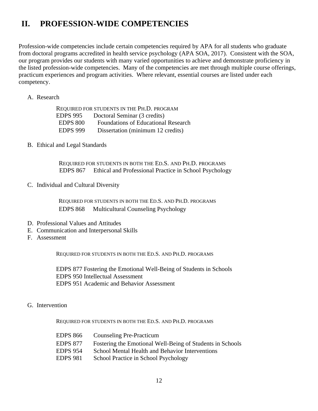# **II. PROFESSION-WIDE COMPETENCIES**

Profession-wide competencies include certain competencies required by APA for all students who graduate from doctoral programs accredited in health service psychology (APA SOA, 2017). Consistent with the SOA, our program provides our students with many varied opportunities to achieve and demonstrate proficiency in the listed profession-wide competencies. Many of the competencies are met through multiple course offerings, practicum experiences and program activities. Where relevant, essential courses are listed under each competency.

## A. Research

|                 | REQUIRED FOR STUDENTS IN THE PH.D. PROGRAM |
|-----------------|--------------------------------------------|
| <b>EDPS 995</b> | Doctoral Seminar (3 credits)               |
| <b>EDPS 800</b> | <b>Foundations of Educational Research</b> |
| <b>EDPS 999</b> | Dissertation (minimum 12 credits)          |

#### B. Ethical and Legal Standards

REQUIRED FOR STUDENTS IN BOTH THE ED.S. AND PH.D. PROGRAMS EDPS 867 Ethical and Professional Practice in School Psychology

C. Individual and Cultural Diversity

REQUIRED FOR STUDENTS IN BOTH THE ED.S. AND PH.D. PROGRAMS EDPS 868 Multicultural Counseling Psychology

- D. Professional Values and Attitudes
- E. Communication and Interpersonal Skills
- F. Assessment

REQUIRED FOR STUDENTS IN BOTH THE ED.S. AND PH.D. PROGRAMS

 EDPS 877 Fostering the Emotional Well-Being of Students in Schools EDPS 950 Intellectual Assessment EDPS 951 Academic and Behavior Assessment

G. Intervention

REQUIRED FOR STUDENTS IN BOTH THE ED.S. AND PH.D. PROGRAMS

| EDPS 866        | <b>Counseling Pre-Practicum</b>                           |
|-----------------|-----------------------------------------------------------|
| <b>EDPS 877</b> | Fostering the Emotional Well-Being of Students in Schools |
| <b>EDPS 954</b> | School Mental Health and Behavior Interventions           |
| <b>EDPS</b> 981 | School Practice in School Psychology                      |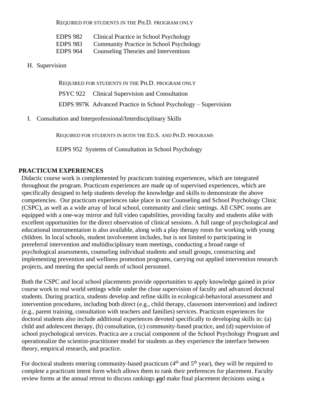REQUIRED FOR STUDENTS IN THE PH.D. PROGRAM ONLY

| <b>EDPS 982</b> | Clinical Practice in School Psychology  |
|-----------------|-----------------------------------------|
| <b>EDPS 983</b> | Community Practice in School Psychology |
| <b>EDPS 964</b> | Counseling Theories and Interventions   |

H. Supervision

REQUIRED FOR STUDENTS IN THE PH.D. PROGRAM ONLY PSYC 922 Clinical Supervision and Consultation EDPS 997K Advanced Practice in School Psychology – Supervision

I. Consultation and Interprofessional/Interdisciplinary Skills

REQUIRED FOR STUDENTS IN BOTH THE ED.S. AND PH.D. PROGRAMS

EDPS 952 Systems of Consultation in School Psychology

## **PRACTICUM EXPERIENCES**

Didactic course work is complemented by practicum training experiences, which are integrated throughout the program. Practicum experiences are made up of supervised experiences, which are specifically designed to help students develop the knowledge and skills to demonstrate the above competencies. Our practicum experiences take place in our Counseling and School Psychology Clinic (CSPC), as well as a wide array of local school, community and clinic settings. All CSPC rooms are equipped with a one-way mirror and full video capabilities, providing faculty and students alike with excellent opportunities for the direct observation of clinical sessions. A full range of psychological and educational instrumentation is also available, along with a play therapy room for working with young children. In local schools, student involvement includes, but is not limited to participating in prereferral intervention and multidisciplinary team meetings, conducting a broad range of psychological assessments, counseling individual students and small groups, constructing and implementing prevention and wellness promotion programs, carrying out applied intervention research projects, and meeting the special needs of school personnel.

Both the CSPC and local school placements provide opportunities to apply knowledge gained in prior course work to real world settings while under the close supervision of faculty and advanced doctoral students. During practica, students develop and refine skills in ecological-behavioral assessment and intervention procedures, including both direct (e.g., child therapy, classroom intervention) and indirect (e.g., parent training, consultation with teachers and families) services. Practicum experiences for doctoral students also include additional experiences devoted specifically to developing skills in: (a) child and adolescent therapy, (b) consultation, (c) community-based practice, and (d) supervision of school psychological services. Practica are a crucial component of the School Psychology Program and operationalize the scientist-practitioner model for students as they experience the interface between theory, empirical research, and practice.

review forms at the annual retreat to discuss rankings and make final placement decisions using a For doctoral students entering community-based practicum  $(4<sup>th</sup>$  and  $5<sup>th</sup>$  year), they will be required to complete a practicum intent form which allows them to rank their preferences for placement. Faculty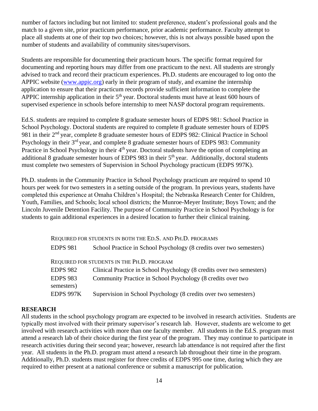number of factors including but not limited to: student preference, student's professional goals and the match to a given site, prior practicum performance, prior academic performance. Faculty attempt to place all students at one of their top two choices; however, this is not always possible based upon the number of students and availability of community sites/supervisors.

Students are responsible for documenting their practicum hours. The specific format required for documenting and reporting hours may differ from one practicum to the next. All students are strongly advised to track and record their practicum experiences. Ph.D. students are encouraged to log onto the APPIC website [\(www.appic.org\) e](http://www.appic.org/)arly in their program of study, and examine the internship application to ensure that their practicum records provide sufficient information to complete the APPIC internship application in their  $5<sup>th</sup>$  year. Doctoral students must have at least 600 hours of supervised experience in schools before internship to meet NASP doctoral program requirements.

Ed.S. students are required to complete 8 graduate semester hours of EDPS 981: School Practice in School Psychology. Doctoral students are required to complete 8 graduate semester hours of EDPS 981 in their 2<sup>nd</sup> year, complete 8 graduate semester hours of EDPS 982: Clinical Practice in School Psychology in their 3<sup>rd</sup> year, and complete 8 graduate semester hours of EDPS 983: Community Practice in School Psychology in their 4<sup>th</sup> year. Doctoral students have the option of completing an additional 8 graduate semester hours of EDPS 983 in their 5<sup>th</sup> year. Additionally, doctoral students must complete two semesters of Supervision in School Psychology practicum (EDPS 997K).

Ph.D. students in the Community Practice in School Psychology practicum are required to spend 10 hours per week for two semesters in a setting outside of the program. In previous years, students have completed this experience at Omaha Children's Hospital; the Nebraska Research Center for Children, Youth, Families, and Schools; local school districts; the Munroe-Meyer Institute; Boys Town; and the Lincoln Juvenile Detention Facility. The purpose of Community Practice in School Psychology is for students to gain additional experiences in a desired location to further their clinical training.

|                               | REQUIRED FOR STUDENTS IN BOTH THE ED.S. AND PH.D. PROGRAMS            |
|-------------------------------|-----------------------------------------------------------------------|
| <b>EDPS 981</b>               | School Practice in School Psychology (8 credits over two semesters)   |
|                               | REQUIRED FOR STUDENTS IN THE PH.D. PROGRAM                            |
| <b>EDPS 982</b>               | Clinical Practice in School Psychology (8 credits over two semesters) |
| <b>EDPS 983</b><br>semesters) | Community Practice in School Psychology (8 credits over two           |
| EDPS 997K                     | Supervision in School Psychology (8 credits over two semesters)       |

## **RESEARCH**

All students in the school psychology program are expected to be involved in research activities. Students are typically most involved with their primary supervisor's research lab. However, students are welcome to get involved with research activities with more than one faculty member. All students in the Ed.S. program must attend a research lab of their choice during the first year of the program. They may continue to participate in research activities during their second year; however, research lab attendance is not required after the first year. All students in the Ph.D. program must attend a research lab throughout their time in the program. Additionally, Ph.D. students must register for three credits of EDPS 995 one time, during which they are required to either present at a national conference or submit a manuscript for publication.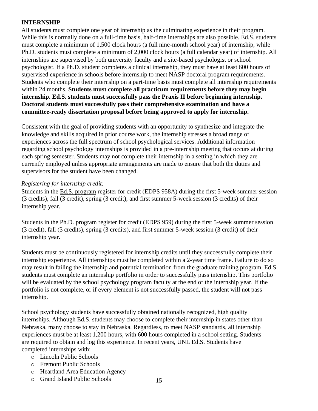## **INTERNSHIP**

All students must complete one year of internship as the culminating experience in their program. While this is normally done on a full-time basis, half-time internships are also possible. Ed.S. students must complete a minimum of 1,500 clock hours (a full nine-month school year) of internship, while Ph.D. students must complete a minimum of 2,000 clock hours (a full calendar year) of internship. All internships are supervised by both university faculty and a site-based psychologist or school psychologist. If a Ph.D. student completes a clinical internship, they must have at least 600 hours of supervised experience in schools before internship to meet NASP doctoral program requirements. Students who complete their internship on a part-time basis must complete all internship requirements within 24 months. **Students must complete all practicum requirements before they may begin internship. Ed.S. students must successfully pass the Praxis II before beginning internship. Doctoral students must successfully pass their comprehensive examination and have a committee-ready dissertation proposal before being approved to apply for internship.**

Consistent with the goal of providing students with an opportunity to synthesize and integrate the knowledge and skills acquired in prior course work, the internship stresses a broad range of experiences across the full spectrum of school psychological services. Additional information regarding school psychology internships is provided in a pre-internship meeting that occurs at during each spring semester. Students may not complete their internship in a setting in which they are currently employed unless appropriate arrangements are made to ensure that both the duties and supervisors for the student have been changed.

## *Registering for internship credit:*

Students in the Ed.S. program register for credit (EDPS 958A) during the first 5-week summer session (3 credits), fall (3 credit), spring (3 credit), and first summer 5-week session (3 credits) of their internship year.

Students in the Ph.D. program register for credit (EDPS 959) during the first 5-week summer session (3 credit), fall (3 credits), spring (3 credits), and first summer 5-week session (3 credit) of their internship year.

Students must be continuously registered for internship credits until they successfully complete their internship experience. All internships must be completed within a 2-year time frame. Failure to do so may result in failing the internship and potential termination from the graduate training program. Ed.S. students must complete an internship portfolio in order to successfully pass internship. This portfolio will be evaluated by the school psychology program faculty at the end of the internship year. If the portfolio is not complete, or if every element is not successfully passed, the student will not pass internship.

School psychology students have successfully obtained nationally recognized, high quality internships. Although Ed.S. students may choose to complete their internship in states other than Nebraska, many choose to stay in Nebraska. Regardless, to meet NASP standards, all internship experiences must be at least 1,200 hours, with 600 hours completed in a school setting. Students are required to obtain and log this experience. In recent years, UNL Ed.S. Students have completed internships with:

- o Lincoln Public Schools
- o Fremont Public Schools
- o Heartland Area Education Agency
- o Grand Island Public Schools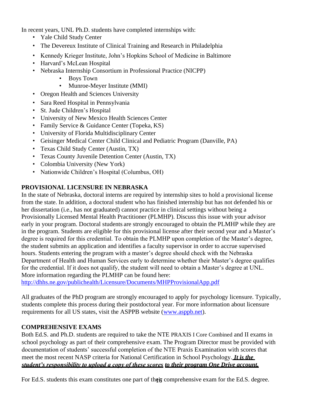In recent years, UNL Ph.D. students have completed internships with:

- Yale Child Study Center
- The Devereux Institute of Clinical Training and Research in Philadelphia
- Kennedy Krieger Institute, John's Hopkins School of Medicine in Baltimore
- Harvard's McLean Hospital
- Nebraska Internship Consortium in Professional Practice (NICPP)
	- Boys Town
	- Munroe-Meyer Institute (MMI)
- Oregon Health and Sciences University
- Sara Reed Hospital in Pennsylvania
- St. Jude Children's Hospital
- University of New Mexico Health Sciences Center
- Family Service & Guidance Center (Topeka, KS)
- University of Florida Multidisciplinary Center
- Geisinger Medical Center Child Clinical and Pediatric Program (Danville, PA)
- Texas Child Study Center (Austin, TX)
- Texas County Juvenile Detention Center (Austin, TX)
- Colombia University (New York)
- Nationwide Children's Hospital (Columbus, OH)

## **PROVISIONAL LICENSURE IN NEBRASKA**

In the state of Nebraska, doctoral interns are required by internship sites to hold a provisional license from the state. In addition, a doctoral student who has finished internship but has not defended his or her dissertation (i.e., has not graduated) cannot practice in clinical settings without being a Provisionally Licensed Mental Health Practitioner (PLMHP). Discuss this issue with your advisor early in your program. Doctoral students are strongly encouraged to obtain the PLMHP while they are in the program. Students are eligible for this provisional license after their second year and a Master's degree is required for this credential. To obtain the PLMHP upon completion of the Master's degree, the student submits an application and identifies a faculty supervisor in order to accrue supervised hours. Students entering the program with a master's degree should check with the Nebraska Department of Health and Human Services early to determine whether their Master's degree qualifies for the credential. If it does not qualify, the student will need to obtain a Master's degree at UNL. More information regarding the PLMHP can be found here:

http://dhhs.ne.gov/publichealth/Licensure/Documents/MHPProvisionalApp.pdf

All graduates of the PhD program are strongly encouraged to apply for psychology licensure. Typically, students complete this process during their postdoctoral year. For more information about licensure requirements for all US states, visit the ASPPB website (www.asppb.net).

## **COMPREHENSIVE EXAMS**

Both Ed.S. and Ph.D. students are required to take the NTE PRAXIS I Core Combined and II exams in school psychology as part of their comprehensive exam. The Program Director must be provided with documentation of students' successful completion of the NTE Praxis Examination with scores that meet the most recent NASP criteria for National Certification in School Psychology. *It is the student's responsibility to upload a copy of these scores to their program One Drive account.*

For Ed.S. students this exam constitutes one part of their comprehensive exam for the Ed.S. degree.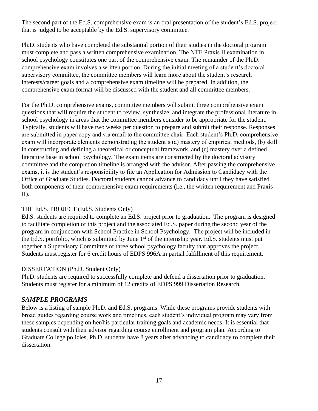The second part of the Ed.S. comprehensive exam is an oral presentation of the student's Ed.S. project that is judged to be acceptable by the Ed.S. supervisory committee.

Ph.D. students who have completed the substantial portion of their studies in the doctoral program must complete and pass a written comprehensive examination. The NTE Praxis II examination in school psychology constitutes one part of the comprehensive exam. The remainder of the Ph.D. comprehensive exam involves a written portion. During the initial meeting of a student's doctoral supervisory committee, the committee members will learn more about the student's research interests/career goals and a comprehensive exam timeline will be prepared. In addition, the comprehensive exam format will be discussed with the student and all committee members.

For the Ph.D. comprehensive exams, committee members will submit three comprehensive exam questions that will require the student to review, synthesize, and integrate the professional literature in school psychology in areas that the committee members consider to be appropriate for the student. Typically, students will have two weeks per question to prepare and submit their response. Responses are submitted in paper copy and via email to the committee chair. Each student's Ph.D. comprehensive exam will incorporate elements demonstrating the student's (a) mastery of empirical methods, (b) skill in constructing and defining a theoretical or conceptual framework, and (c) mastery over a defined literature base in school psychology. The exam items are constructed by the doctoral advisory committee and the completion timeline is arranged with the advisor. After passing the comprehensive exams, it is the student's responsibility to file an Application for Admission to Candidacy with the Office of Graduate Studies. Doctoral students cannot advance to candidacy until they have satisfied both components of their comprehensive exam requirements (i.e., the written requirement and Praxis II).

## THE Ed.S. PROJECT (Ed.S. Students Only)

Ed.S. students are required to complete an Ed.S. project prior to graduation. The program is designed to facilitate completion of this project and the associated Ed.S. paper during the second year of the program in conjunction with School Practice in School Psychology. The project will be included in the Ed.S. portfolio, which is submitted by June  $1<sup>st</sup>$  of the internship year. Ed.S. students must put together a Supervisory Committee of three school psychology faculty that approves the project. Students must register for 6 credit hours of EDPS 996A in partial fulfillment of this requirement.

## DISSERTATION (Ph.D. Student Only)

Ph.D. students are required to successfully complete and defend a dissertation prior to graduation. Students must register for a minimum of 12 credits of EDPS 999 Dissertation Research.

## *SAMPLE PROGRAMS*

Below is a listing of sample Ph.D. and Ed.S. programs. While these programs provide students with broad guides regarding course work and timelines, each student's individual program may vary from these samples depending on her/his particular training goals and academic needs. It is essential that students consult with their advisor regarding course enrollment and program plan. According to Graduate College policies, Ph.D. students have 8 years after advancing to candidacy to complete their dissertation.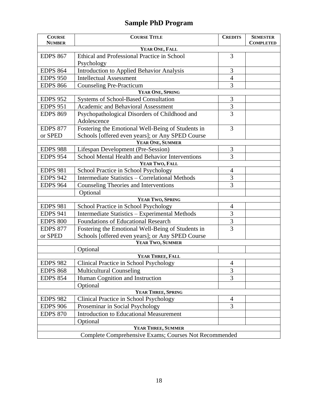# **Sample PhD Program**

| <b>COURSE</b><br><b>NUMBER</b>                              | <b>COURSE TITLE</b>                                    | <b>CREDITS</b> | <b>SEMESTER</b><br><b>COMPLETED</b> |  |
|-------------------------------------------------------------|--------------------------------------------------------|----------------|-------------------------------------|--|
| YEAR ONE, FALL                                              |                                                        |                |                                     |  |
| <b>EDPS 867</b>                                             | Ethical and Professional Practice in School            | 3              |                                     |  |
|                                                             | Psychology                                             |                |                                     |  |
| <b>EDPS 864</b>                                             | <b>Introduction to Applied Behavior Analysis</b>       | 3              |                                     |  |
| <b>EDPS 950</b>                                             | <b>Intellectual Assessment</b>                         | $\overline{4}$ |                                     |  |
| <b>EDPS 866</b>                                             | 3<br><b>Counseling Pre-Practicum</b>                   |                |                                     |  |
| YEAR ONE, SPRING                                            |                                                        |                |                                     |  |
| <b>EDPS 952</b>                                             | <b>Systems of School-Based Consultation</b>            | 3              |                                     |  |
| <b>EDPS 951</b>                                             | <b>Academic and Behavioral Assessment</b>              | 3              |                                     |  |
| <b>EDPS 869</b>                                             | Psychopathological Disorders of Childhood and          | $\overline{3}$ |                                     |  |
|                                                             | Adolescence                                            |                |                                     |  |
| <b>EDPS 877</b>                                             | Fostering the Emotional Well-Being of Students in      | 3              |                                     |  |
| Schools [offered even years]; or Any SPED Course<br>or SPED |                                                        |                |                                     |  |
|                                                             | YEAR ONE, SUMMER                                       |                |                                     |  |
| <b>EDPS 988</b>                                             | Lifespan Development (Pre-Session)                     | 3              |                                     |  |
| <b>EDPS 954</b>                                             | School Mental Health and Behavior Interventions        | 3              |                                     |  |
| YEAR TWO, FALL                                              |                                                        |                |                                     |  |
| <b>EDPS 981</b>                                             | School Practice in School Psychology                   | 4              |                                     |  |
| <b>EDPS 942</b>                                             | <b>Intermediate Statistics - Correlational Methods</b> | $\overline{3}$ |                                     |  |
| <b>EDPS 964</b>                                             | Counseling Theories and Interventions                  | 3              |                                     |  |
|                                                             | Optional                                               |                |                                     |  |
|                                                             | YEAR TWO, SPRING                                       |                |                                     |  |
| <b>EDPS 981</b>                                             | School Practice in School Psychology                   | 4              |                                     |  |
| <b>EDPS 941</b>                                             | Intermediate Statistics - Experimental Methods         | $\overline{3}$ |                                     |  |
| <b>EDPS 800</b>                                             | Foundations of Educational Research                    | 3              |                                     |  |
| <b>EDPS 877</b>                                             | Fostering the Emotional Well-Being of Students in      | 3              |                                     |  |
| or SPED                                                     | Schools [offered even years]; or Any SPED Course       |                |                                     |  |
|                                                             | YEAR TWO, SUMMER                                       |                |                                     |  |
|                                                             | Optional                                               |                |                                     |  |
|                                                             | YEAR THREE, FALL                                       |                |                                     |  |
| <b>EDPS 982</b>                                             | Clinical Practice in School Psychology<br>4            |                |                                     |  |
| <b>EDPS 868</b>                                             | <b>Multicultural Counseling</b><br>$\mathfrak{Z}$      |                |                                     |  |
| Human Cognition and Instruction<br>3<br><b>EDPS 854</b>     |                                                        |                |                                     |  |
| Optional                                                    |                                                        |                |                                     |  |
|                                                             | YEAR THREE, SPRING                                     |                |                                     |  |
| <b>EDPS 982</b>                                             | Clinical Practice in School Psychology                 | $\overline{4}$ |                                     |  |
| <b>EDPS 906</b>                                             | Proseminar in Social Psychology                        | 3              |                                     |  |
| <b>EDPS 870</b>                                             | <b>Introduction to Educational Measurement</b>         |                |                                     |  |
|                                                             | Optional                                               |                |                                     |  |
|                                                             | YEAR THREE, SUMMER                                     |                |                                     |  |
|                                                             | Complete Comprehensive Exams; Courses Not Recommended  |                |                                     |  |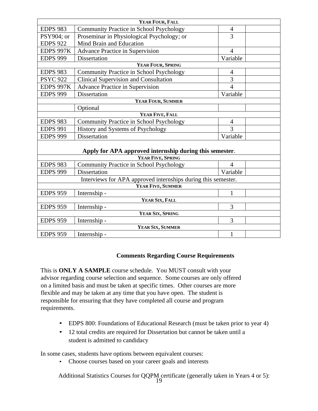| YEAR FOUR, FALL                                               |                                                         |                |  |  |
|---------------------------------------------------------------|---------------------------------------------------------|----------------|--|--|
| <b>EDPS 983</b>                                               | Community Practice in School Psychology                 | $\overline{4}$ |  |  |
| PSY904; or                                                    | 3<br>Proseminar in Physiological Psychology; or         |                |  |  |
| <b>EDPS 922</b>                                               | Mind Brain and Education                                |                |  |  |
| <b>EDPS 997K</b>                                              | Advance Practice in Supervision                         | $\overline{4}$ |  |  |
| <b>EDPS 999</b>                                               | Dissertation                                            | Variable       |  |  |
|                                                               | YEAR FOUR, SPRING                                       |                |  |  |
| <b>EDPS 983</b>                                               | Community Practice in School Psychology                 | 4              |  |  |
| <b>PSYC 922</b>                                               | <b>Clinical Supervision and Consultation</b>            | 3              |  |  |
| EDPS 997K                                                     | <b>Advance Practice in Supervision</b>                  | $\overline{4}$ |  |  |
| <b>EDPS 999</b>                                               | Dissertation                                            | Variable       |  |  |
| YEAR FOUR, SUMMER                                             |                                                         |                |  |  |
| Optional                                                      |                                                         |                |  |  |
| YEAR FIVE, FALL                                               |                                                         |                |  |  |
| <b>EDPS 983</b>                                               | <b>Community Practice in School Psychology</b>          | 4              |  |  |
| <b>EDPS 991</b>                                               | History and Systems of Psychology                       | 3              |  |  |
| <b>EDPS 999</b>                                               | <b>Dissertation</b>                                     | Variable       |  |  |
|                                                               |                                                         |                |  |  |
|                                                               | Apply for APA approved internship during this semester. |                |  |  |
|                                                               | YEAR FIVE, SPRING                                       |                |  |  |
| <b>EDPS 983</b>                                               | Community Practice in School Psychology                 | $\overline{4}$ |  |  |
| <b>EDPS 999</b>                                               | <b>Dissertation</b>                                     | Variable       |  |  |
| Interviews for APA approved internships during this semester. |                                                         |                |  |  |
| YEAR FIVE, SUMMER                                             |                                                         |                |  |  |
| <b>EDPS 959</b>                                               | Internship -                                            | $\mathbf{1}$   |  |  |
| YEAR SIX, FALL                                                |                                                         |                |  |  |
| <b>EDPS 959</b>                                               | Internship -                                            | 3              |  |  |
|                                                               | YEAR SIX, SPRING                                        |                |  |  |
| <b>EDPS 959</b>                                               | Internship -                                            | 3              |  |  |
|                                                               | YEAR SIX, SUMMER                                        |                |  |  |
| <b>EDPS 959</b>                                               | Internship -                                            | $\mathbf{1}$   |  |  |

## **Comments Regarding Course Requirements**

This is **ONLY A SAMPLE** course schedule. You MUST consult with your advisor regarding course selection and sequence. Some courses are only offered on a limited basis and must be taken at specific times. Other courses are more flexible and may be taken at any time that you have open. The student is responsible for ensuring that they have completed all course and program requirements.

- EDPS 800: Foundations of Educational Research (must be taken prior to year 4)
- 12 total credits are required for Dissertation but cannot be taken until a student is admitted to candidacy

In some cases, students have options between equivalent courses:

• Choose courses based on your career goals and interests

Additional Statistics Courses for QQPM certificate (generally taken in Years 4 or 5):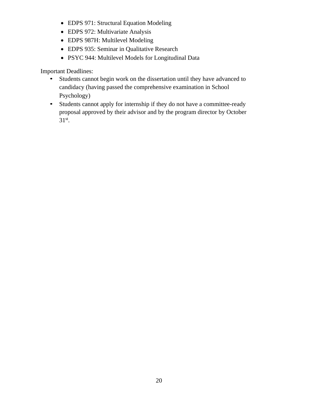- EDPS 971: Structural Equation Modeling
- EDPS 972: Multivariate Analysis
- EDPS 987H: Multilevel Modeling
- EDPS 935: Seminar in Qualitative Research
- PSYC 944: Multilevel Models for Longitudinal Data

Important Deadlines:

- Students cannot begin work on the dissertation until they have advanced to candidacy (having passed the comprehensive examination in School Psychology)
- Students cannot apply for internship if they do not have a committee-ready proposal approved by their advisor and by the program director by October  $31<sup>st</sup>$ .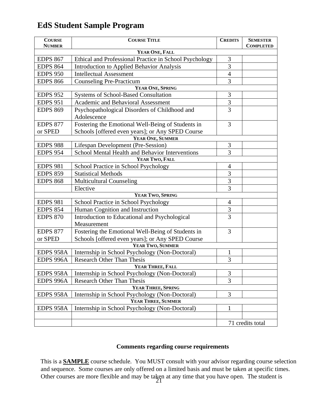## **EdS Student Sample Program**

| <b>COURSE</b><br><b>NUMBER</b>                              | <b>COURSE TITLE</b>                                             |                | <b>SEMESTER</b><br><b>COMPLETED</b> |  |
|-------------------------------------------------------------|-----------------------------------------------------------------|----------------|-------------------------------------|--|
|                                                             | YEAR ONE, FALL                                                  |                |                                     |  |
| <b>EDPS 867</b>                                             | Ethical and Professional Practice in School Psychology          | 3              |                                     |  |
| <b>EDPS 864</b>                                             | 3<br><b>Introduction to Applied Behavior Analysis</b>           |                |                                     |  |
| <b>EDPS 950</b>                                             | <b>Intellectual Assessment</b>                                  | $\overline{4}$ |                                     |  |
| <b>EDPS 866</b>                                             | 3<br><b>Counseling Pre-Practicum</b>                            |                |                                     |  |
|                                                             | YEAR ONE, SPRING                                                |                |                                     |  |
| <b>EDPS 952</b>                                             | <b>Systems of School-Based Consultation</b>                     | 3              |                                     |  |
| <b>EDPS 951</b>                                             | Academic and Behavioral Assessment                              | $\mathfrak{Z}$ |                                     |  |
| <b>EDPS 869</b>                                             | Psychopathological Disorders of Childhood and                   | 3              |                                     |  |
|                                                             | Adolescence                                                     |                |                                     |  |
| <b>EDPS 877</b>                                             | Fostering the Emotional Well-Being of Students in               | 3              |                                     |  |
| or SPED                                                     | Schools [offered even years]; or Any SPED Course                |                |                                     |  |
|                                                             | YEAR ONE, SUMMER                                                |                |                                     |  |
| <b>EDPS 988</b>                                             | Lifespan Development (Pre-Session)                              | 3              |                                     |  |
| <b>EDPS 954</b>                                             | School Mental Health and Behavior Interventions<br>3            |                |                                     |  |
| YEAR TWO, FALL                                              |                                                                 |                |                                     |  |
| <b>EDPS 981</b>                                             | School Practice in School Psychology                            | 4              |                                     |  |
| <b>EDPS 859</b>                                             | <b>Statistical Methods</b>                                      | 3              |                                     |  |
| <b>EDPS 868</b>                                             | <b>Multicultural Counseling</b>                                 | 3              |                                     |  |
|                                                             | Elective                                                        | 3              |                                     |  |
|                                                             | YEAR TWO, SPRING                                                |                |                                     |  |
| <b>EDPS 981</b>                                             | School Practice in School Psychology                            | $\overline{4}$ |                                     |  |
| <b>EDPS 854</b>                                             | Human Cognition and Instruction                                 | 3              |                                     |  |
| <b>EDPS 870</b>                                             | $\overline{3}$<br>Introduction to Educational and Psychological |                |                                     |  |
| Measurement                                                 |                                                                 |                |                                     |  |
| <b>EDPS 877</b>                                             | Fostering the Emotional Well-Being of Students in               | 3              |                                     |  |
| Schools [offered even years]; or Any SPED Course<br>or SPED |                                                                 |                |                                     |  |
| YEAR TWO, SUMMER                                            |                                                                 |                |                                     |  |
| EDPS 958A                                                   | Internship in School Psychology (Non-Doctoral)                  | $\mathbf{1}$   |                                     |  |
| EDPS 996A                                                   | <b>Research Other Than Thesis</b>                               | 3              |                                     |  |
| YEAR THREE, FALL                                            |                                                                 |                |                                     |  |
| EDPS 958A                                                   | Internship in School Psychology (Non-Doctoral)                  | 3              |                                     |  |
| EDPS 996A                                                   | <b>Research Other Than Thesis</b>                               | 3              |                                     |  |
|                                                             | YEAR THREE, SPRING                                              |                |                                     |  |
| EDPS 958A                                                   | Internship in School Psychology (Non-Doctoral)                  | 3              |                                     |  |
|                                                             | YEAR THREE, SUMMER                                              |                |                                     |  |
| EDPS 958A                                                   | Internship in School Psychology (Non-Doctoral)                  | $\mathbf{1}$   |                                     |  |
|                                                             |                                                                 |                |                                     |  |
|                                                             |                                                                 |                | 71 credits total                    |  |

## **Comments regarding course requirements**

Other courses are more flexible and may be taken at any time that you have open. The student is This is a **SAMPLE** course schedule. You MUST consult with your advisor regarding course selection and sequence. Some courses are only offered on a limited basis and must be taken at specific times.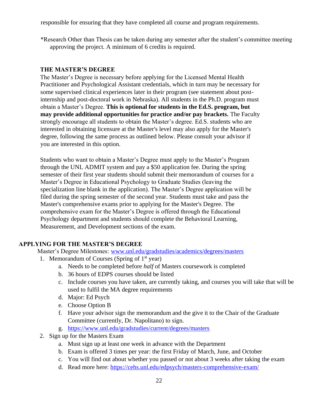responsible for ensuring that they have completed all course and program requirements.

\*Research Other than Thesis can be taken during any semester after the student's committee meeting approving the project. A minimum of 6 credits is required.

## **THE MASTER'S DEGREE**

The Master's Degree is necessary before applying for the Licensed Mental Health Practitioner and Psychological Assistant credentials, which in turn may be necessary for some supervised clinical experiences later in their program (see statement about postinternship and post-doctoral work in Nebraska). All students in the Ph.D. program must obtain a Master's Degree. **This is optional for students in the Ed.S. program, but may provide additional opportunities for practice and/or pay brackets.** The Faculty strongly encourage all students to obtain the Master's degree. Ed.S. students who are interested in obtaining licensure at the Master's level may also apply for the Master's degree, following the same process as outlined below. Please consult your advisor if you are interested in this option.

Students who want to obtain a Master's Degree must apply to the Master's Program through the UNL ADMIT system and pay a \$50 application fee. During the spring semester of their first year students should submit their memorandum of courses for a Master's Degree in Educational Psychology to Graduate Studies (leaving the specialization line blank in the application). The Master's Degree application will be filed during the spring semester of the second year. Students must take and pass the Master's comprehensive exams prior to applying for the Master's Degree. The comprehensive exam for the Master's Degree is offered through the Educational Psychology department and students should complete the Behavioral Learning, Measurement, and Development sections of the exam.

## **APPLYING FOR THE MASTER'S DEGREE**

Master's Degree Milestones: [www.unl.edu/gradstudies/academics/degrees/masters](http://www.unl.edu/gradstudies/academics/degrees/masters)

- 1. Memorandum of Courses (Spring of  $1<sup>st</sup>$  year)
	- a. Needs to be completed before *half* of Masters coursework is completed
	- b. 36 hours of EDPS courses should be listed
	- c. Include courses you have taken, are currently taking, and courses you will take that will be used to fulfil the MA degree requirements
	- d. Major: Ed Psych
	- e. Choose Option B
	- f. Have your advisor sign the memorandum and the give it to the Chair of the Graduate Committee (currently, Dr. Napolitano) to sign.
	- g. <https://www.unl.edu/gradstudies/current/degrees/masters>
- 2. Sign up for the Masters Exam
	- a. Must sign up at least one week in advance with the Department
	- b. Exam is offered 3 times per year: the first Friday of March, June, and October
	- c. You will find out about whether you passed or not about 3 weeks after taking the exam
	- d. Read more here:<https://cehs.unl.edu/edpsych/masters-comprehensive-exam/>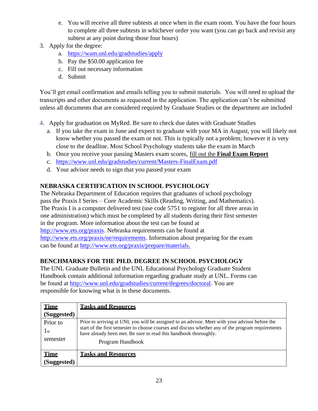- e. You will receive all three subtests at once when in the exam room. You have the four hours to complete all three subtests in whichever order you want (you can go back and revisit any subtest at any point during those four hours)
- 3. Apply for the degree:
	- a. <https://wam.unl.edu/gradstudies/apply>
	- b. Pay the \$50.00 application fee
	- c. Fill out necessary information
	- d. Submit

You'll get email confirmation and emails telling you to submit materials. You will need to upload the transcripts and other documents as requested in the application. The application can't be submitted unless all documents that are considered required by Graduate Studies or the department are included

- 4. Apply for graduation on MyRed. Be sure to check due dates with Graduate Studies
	- a. If you take the exam in June and expect to graduate with your MA in August, you will likely not know whether you passed the exam or not. This is typically not a problem; however it is very close to the deadline. Most School Psychology students take the exam in March
	- b. Once you receive your passing Masters exam scores, fill out the **Final Exam Report**
	- c. <https://www.unl.edu/gradstudies/current/Masters-FinalExam.pdf>
	- d. Your advisor needs to sign that you passed your exam

## **NEBRASKA CERTIFICATION IN SCHOOL PSYCHOLOGY**

The Nebraska Department of Education requires that graduates of school psychology pass the Praxis I Series – Core Academic Skills (Reading, Writing, and Mathematics). The Praxis I is a computer delivered test (use code 5751 to register for all three areas in one administration) which must be completed by all students during their first semester in the program. More information about the test can be found at [http://www.ets.org/praxis. N](http://www.ets.org/praxis)ebraska requirements can be found at [http://www.ets.org/praxis/ne/requirements.](http://www.ets.org/praxis/ne/requirements) Information about preparing for the exam can be found at [http://www.ets.org/praxis/prepare/materials.](http://www.ets.org/praxis/prepare/materials)

## **BENCHMARKS FOR THE PH.D. DEGREE IN SCHOOL PSYCHOLOGY**

The UNL Graduate Bulletin and the UNL Educational Psychology Graduate Student Handbook contain additional information regarding graduate study at UNL. Forms can be found at [http://www.unl.edu/gradstudies/current/degrees/doctoral.](http://www.unl.edu/gradstudies/current/degrees/doctoral) You are responsible for knowing what is in these documents.

| <b>Time</b> | <b>Tasks and Resources</b>                                                                                                                                            |
|-------------|-----------------------------------------------------------------------------------------------------------------------------------------------------------------------|
| (Suggested) |                                                                                                                                                                       |
| Prior to    | Prior to arriving at UNL you will be assigned to an advisor. Meet with your advisor before the                                                                        |
| 1st         | start of the first semester to choose courses and discuss whether any of the program requirements<br>have already been met. Be sure to read this handbook thoroughly. |
| semester    | Program Handbook                                                                                                                                                      |
| <b>Time</b> | <b>Tasks and Resources</b>                                                                                                                                            |
| (Suggested) |                                                                                                                                                                       |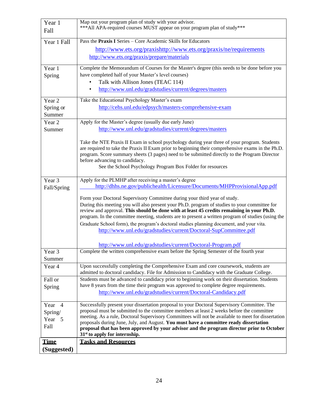| Year 1<br>Fall        | Map out your program plan of study with your advisor.<br>*** All APA-required courses MUST appear on your program plan of study***                                                                                                                                                                                                                                                                                                                                                                                                                                                                          |
|-----------------------|-------------------------------------------------------------------------------------------------------------------------------------------------------------------------------------------------------------------------------------------------------------------------------------------------------------------------------------------------------------------------------------------------------------------------------------------------------------------------------------------------------------------------------------------------------------------------------------------------------------|
| Year 1 Fall           | Pass the Praxis I Series - Core Academic Skills for Educators                                                                                                                                                                                                                                                                                                                                                                                                                                                                                                                                               |
|                       | http://www.ets.org/praxishttp://www.ets.org/praxis/ne/requirements                                                                                                                                                                                                                                                                                                                                                                                                                                                                                                                                          |
|                       | http://www.ets.org/praxis/prepare/materials                                                                                                                                                                                                                                                                                                                                                                                                                                                                                                                                                                 |
| Year 1                | Complete the Memorandum of Courses for the Master's degree (this needs to be done before you                                                                                                                                                                                                                                                                                                                                                                                                                                                                                                                |
| Spring                | have completed half of your Master's level courses)                                                                                                                                                                                                                                                                                                                                                                                                                                                                                                                                                         |
|                       | Talk with Allison Jones (TEAC 114)                                                                                                                                                                                                                                                                                                                                                                                                                                                                                                                                                                          |
|                       | http://www.unl.edu/gradstudies/current/degrees/masters                                                                                                                                                                                                                                                                                                                                                                                                                                                                                                                                                      |
| Year 2                | Take the Educational Psychology Master's exam                                                                                                                                                                                                                                                                                                                                                                                                                                                                                                                                                               |
| Spring or<br>Summer   | http://cehs.unl.edu/edpsych/masters-comprehensive-exam                                                                                                                                                                                                                                                                                                                                                                                                                                                                                                                                                      |
| Year <sub>2</sub>     | Apply for the Master's degree (usually due early June)                                                                                                                                                                                                                                                                                                                                                                                                                                                                                                                                                      |
| Summer                | http://www.unl.edu/gradstudies/current/degrees/masters                                                                                                                                                                                                                                                                                                                                                                                                                                                                                                                                                      |
|                       | Take the NTE Praxis II Exam in school psychology during year three of your program. Students<br>are required to take the Praxis II Exam prior to beginning their comprehensive exams in the Ph.D.<br>program. Score summary sheets (3 pages) need to be submitted directly to the Program Director<br>before advancing to candidacy.<br>See the School Psychology Program Box Folder for resources                                                                                                                                                                                                          |
| Year 3<br>Fall/Spring | Apply for the PLMHP after receiving a master's degree<br>http://dhhs.ne.gov/publichealth/Licensure/Documents/MHPProvisionalApp.pdf                                                                                                                                                                                                                                                                                                                                                                                                                                                                          |
|                       | Form your Doctoral Supervisory Committee during your third year of study.<br>During this meeting you will also present your Ph.D. program of studies to your committee for<br>review and approval. This should be done with at least 45 credits remaining in your Ph.D.<br>program. In the committee meeting, students are to present a written program of studies (using the<br>Graduate School form), the program's doctoral studies planning document, and your vita.<br>http://www.unl.edu/gradstudies/current/Doctoral-SupCommittee.pdf<br>http://www.unl.edu/gradstudies/current/Doctoral-Program.pdf |
| Year 3                | Complete the written comprehensive exam before the Spring Semester of the fourth year                                                                                                                                                                                                                                                                                                                                                                                                                                                                                                                       |
| Summer                |                                                                                                                                                                                                                                                                                                                                                                                                                                                                                                                                                                                                             |
| Year 4                | Upon successfully completing the Comprehensive Exam and core coursework, students are<br>admitted to doctoral candidacy. File for Admission to Candidacy with the Graduate College.                                                                                                                                                                                                                                                                                                                                                                                                                         |
| Fall or               | Students must be advanced to candidacy prior to beginning work on their dissertation. Students                                                                                                                                                                                                                                                                                                                                                                                                                                                                                                              |
| Spring                | have 8 years from the time their program was approved to complete degree requirements.<br>http://www.unl.edu/gradstudies/current/Doctoral-Candidacy.pdf                                                                                                                                                                                                                                                                                                                                                                                                                                                     |
| Year 4                | Successfully present your dissertation proposal to your Doctoral Supervisory Committee. The                                                                                                                                                                                                                                                                                                                                                                                                                                                                                                                 |
| Spring/               | proposal must be submitted to the committee members at least 2 weeks before the committee<br>meeting. As a rule, Doctoral Supervisory Committees will not be available to meet for dissertation                                                                                                                                                                                                                                                                                                                                                                                                             |
| Year 5<br>Fall        | proposals during June, July, and August. You must have a committee ready dissertation<br>proposal that has been approved by your advisor and the program director prior to October<br>$31st$ to apply for internship.                                                                                                                                                                                                                                                                                                                                                                                       |
| <b>Time</b>           | <b>Tasks and Resources</b>                                                                                                                                                                                                                                                                                                                                                                                                                                                                                                                                                                                  |
| (Suggested)           |                                                                                                                                                                                                                                                                                                                                                                                                                                                                                                                                                                                                             |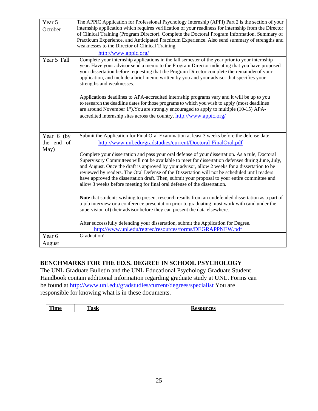| Year 5            | The APPIC Application for Professional Psychology Internship (APPI) Part 2 is the section of your                                                                                                                                                                                                                                                                                                                                                                                                                                                                                                                                                                                                                   |
|-------------------|---------------------------------------------------------------------------------------------------------------------------------------------------------------------------------------------------------------------------------------------------------------------------------------------------------------------------------------------------------------------------------------------------------------------------------------------------------------------------------------------------------------------------------------------------------------------------------------------------------------------------------------------------------------------------------------------------------------------|
| October           | internship application which requires verification of your readiness for internship from the Director<br>of Clinical Training (Program Director). Complete the Doctoral Program Information, Summary of                                                                                                                                                                                                                                                                                                                                                                                                                                                                                                             |
|                   | Practicum Experience, and Anticipated Practicum Experience. Also send summary of strengths and                                                                                                                                                                                                                                                                                                                                                                                                                                                                                                                                                                                                                      |
|                   | weaknesses to the Director of Clinical Training.                                                                                                                                                                                                                                                                                                                                                                                                                                                                                                                                                                                                                                                                    |
|                   | http://www.appic.org/                                                                                                                                                                                                                                                                                                                                                                                                                                                                                                                                                                                                                                                                                               |
| Year 5 Fall       | Complete your internship applications in the fall semester of the year prior to your internship<br>year. Have your advisor send a memo to the Program Director indicating that you have proposed<br>your dissertation before requesting that the Program Director complete the remainder of your<br>application, and include a brief memo written by you and your advisor that specifies your<br>strengths and weaknesses.<br>Applications deadlines to APA-accredited internship programs vary and it will be up to you<br>to research the deadline dates for those programs to which you wish to apply (most deadlines<br>are around November 1st). You are strongly encouraged to apply to multiple (10-15) APA- |
|                   | accredited internship sites across the country. http://www.appic.org/                                                                                                                                                                                                                                                                                                                                                                                                                                                                                                                                                                                                                                               |
| Year 6 (by        | Submit the Application for Final Oral Examination at least 3 weeks before the defense date.                                                                                                                                                                                                                                                                                                                                                                                                                                                                                                                                                                                                                         |
| the end of        | http://www.unl.edu/gradstudies/current/Doctoral-FinalOral.pdf                                                                                                                                                                                                                                                                                                                                                                                                                                                                                                                                                                                                                                                       |
| May)              | Complete your dissertation and pass your oral defense of your dissertation. As a rule, Doctoral<br>Supervisory Committees will not be available to meet for dissertation defenses during June, July,<br>and August. Once the draft is approved by your advisor, allow 2 weeks for a dissertation to be<br>reviewed by readers. The Oral Defense of the Dissertation will not be scheduled until readers<br>have approved the dissertation draft. Then, submit your proposal to your entire committee and<br>allow 3 weeks before meeting for final oral defense of the dissertation.                                                                                                                                |
|                   | Note that students wishing to present research results from an undefended dissertation as a part of<br>a job interview or a conference presentation prior to graduating must work with (and under the<br>supervision of) their advisor before they can present the data elsewhere.                                                                                                                                                                                                                                                                                                                                                                                                                                  |
|                   | After successfully defending your dissertation, submit the Application for Degree.                                                                                                                                                                                                                                                                                                                                                                                                                                                                                                                                                                                                                                  |
| Year <sub>6</sub> | http://www.unl.edu/regrec/resources/forms/DEGRAPPNEW.pdf<br>Graduation!                                                                                                                                                                                                                                                                                                                                                                                                                                                                                                                                                                                                                                             |
| August            |                                                                                                                                                                                                                                                                                                                                                                                                                                                                                                                                                                                                                                                                                                                     |
|                   |                                                                                                                                                                                                                                                                                                                                                                                                                                                                                                                                                                                                                                                                                                                     |

## **BENCHMARKS FOR THE ED.S. DEGREE IN SCHOOL PSYCHOLOGY**

The UNL Graduate Bulletin and the UNL Educational Psychology Graduate Student Handbook contain additional information regarding graduate study at UNL. Forms can be found at<http://www.unl.edu/gradstudies/current/degrees/specialist> You are responsible for knowing what is in these documents.

|  | ~<br>$- - -$<br>- а пис | $\overline{\phantom{a}}$<br>.<br><b>CLIDAD</b> |  |
|--|-------------------------|------------------------------------------------|--|
|--|-------------------------|------------------------------------------------|--|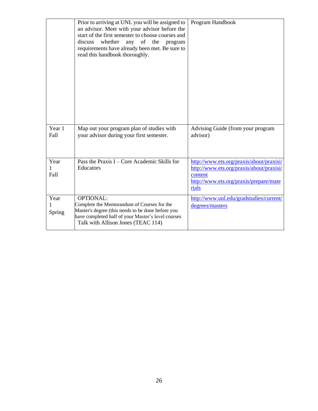|                   | Prior to arriving at UNL you will be assigned to<br>an advisor. Meet with your advisor before the<br>start of the first semester to choose courses and<br>whether<br>any of<br>discuss<br>the<br>program<br>requirements have already been met. Be sure to<br>read this handbook thoroughly. | Program Handbook                                                                                                                                   |
|-------------------|----------------------------------------------------------------------------------------------------------------------------------------------------------------------------------------------------------------------------------------------------------------------------------------------|----------------------------------------------------------------------------------------------------------------------------------------------------|
| Year 1<br>Fall    | Map out your program plan of studies with<br>your advisor during your first semester.                                                                                                                                                                                                        | Advising Guide (from your program<br>advisor)                                                                                                      |
| Year<br>1<br>Fall | Pass the Praxis $I - Core Academic Skills for$<br>Educators                                                                                                                                                                                                                                  | http://www.ets.org/praxis/about/praxisi/<br>http://www.ets.org/praxis/about/praxisi/<br>content<br>http://www.ets.org/praxis/prepare/mate<br>rials |
| Year<br>Spring    | <b>OPTIONAL:</b><br>Complete the Memorandum of Courses for the<br>Master's degree (this needs to be done before you<br>have completed half of your Master's level courses<br>Talk with Allison Jones (TEAC 114)                                                                              | http://www.unl.edu/gradstudies/current/<br>degrees/masters                                                                                         |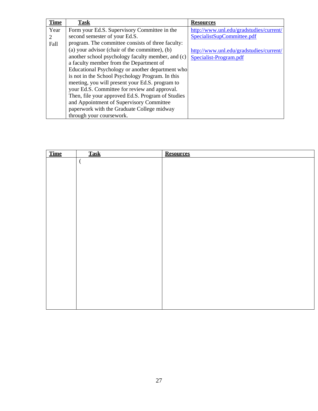| <b>Time</b> | <u>Task</u>                                       | <b>Resources</b>                        |
|-------------|---------------------------------------------------|-----------------------------------------|
| Year        | Form your Ed.S. Supervisory Committee in the      | http://www.unl.edu/gradstudies/current/ |
|             | second semester of your Ed.S.                     | SpecialistSupCommittee.pdf              |
| Fall        | program. The committee consists of three faculty: |                                         |
|             | (a) your advisor (chair of the committee), (b)    | http://www.unl.edu/gradstudies/current/ |
|             | another school psychology faculty member, and (c) | Specialist-Program.pdf                  |
|             | a faculty member from the Department of           |                                         |
|             | Educational Psychology or another department who  |                                         |
|             | is not in the School Psychology Program. In this  |                                         |
|             | meeting, you will present your Ed.S. program to   |                                         |
|             | your Ed.S. Committee for review and approval.     |                                         |
|             | Then, file your approved Ed.S. Program of Studies |                                         |
|             | and Appointment of Supervisory Committee          |                                         |
|             | paperwork with the Graduate College midway        |                                         |
|             | through your coursework.                          |                                         |

| <b>Time</b> | <b>Task</b> | <b>Resources</b> |
|-------------|-------------|------------------|
|             | $\big($     |                  |
|             |             |                  |
|             |             |                  |
|             |             |                  |
|             |             |                  |
|             |             |                  |
|             |             |                  |
|             |             |                  |
|             |             |                  |
|             |             |                  |
|             |             |                  |
|             |             |                  |
|             |             |                  |
|             |             |                  |
|             |             |                  |
|             |             |                  |
|             |             |                  |
|             |             |                  |
|             |             |                  |
|             |             |                  |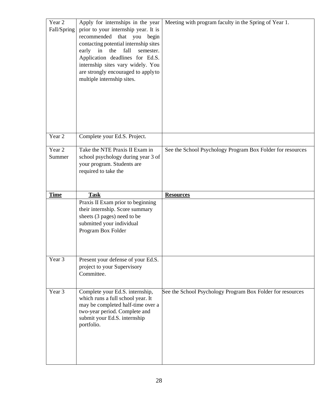| Year 2<br>Fall/Spring | Apply for internships in the year<br>prior to your internship year. It is<br>recommended<br>that you begin<br>contacting potential internship sites<br>fall<br>early<br>in<br>the<br>semester.<br>Application deadlines for Ed.S.<br>internship sites vary widely. You<br>are strongly encouraged to apply to<br>multiple internship sites. | Meeting with program faculty in the Spring of Year 1.      |
|-----------------------|---------------------------------------------------------------------------------------------------------------------------------------------------------------------------------------------------------------------------------------------------------------------------------------------------------------------------------------------|------------------------------------------------------------|
| Year 2                | Complete your Ed.S. Project.                                                                                                                                                                                                                                                                                                                |                                                            |
| Year 2<br>Summer      | Take the NTE Praxis II Exam in<br>school psychology during year 3 of<br>your program. Students are<br>required to take the                                                                                                                                                                                                                  | See the School Psychology Program Box Folder for resources |
| <b>Time</b>           | <b>Task</b>                                                                                                                                                                                                                                                                                                                                 | <b>Resources</b>                                           |
|                       |                                                                                                                                                                                                                                                                                                                                             |                                                            |
|                       | Praxis II Exam prior to beginning<br>their internship. Score summary<br>sheets (3 pages) need to be<br>submitted your individual<br>Program Box Folder                                                                                                                                                                                      |                                                            |
| Year 3<br>Year 3      | Present your defense of your Ed.S.<br>project to your Supervisory<br>Committee.                                                                                                                                                                                                                                                             | See the School Psychology Program Box Folder for resources |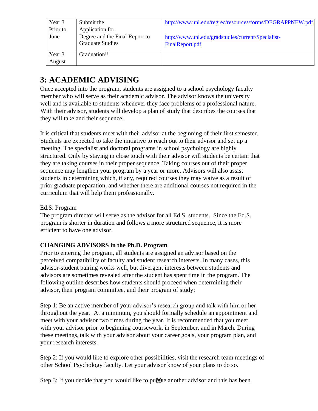| Year 3           | Submit the                                                                   | http://www.unl.edu/regrec/resources/forms/DEGRAPPNEW.pdf              |
|------------------|------------------------------------------------------------------------------|-----------------------------------------------------------------------|
| Prior to<br>June | Application for<br>Degree and the Final Report to<br><b>Graduate Studies</b> | http://www.unl.edu/gradstudies/current/Specialist-<br>FinalReport.pdf |
| Year 3<br>August | Graduation!!                                                                 |                                                                       |

# **3: ACADEMIC ADVISING**

Once accepted into the program, students are assigned to a school psychology faculty member who will serve as their academic advisor. The advisor knows the university well and is available to students whenever they face problems of a professional nature. With their advisor, students will develop a plan of study that describes the courses that they will take and their sequence.

It is critical that students meet with their advisor at the beginning of their first semester. Students are expected to take the initiative to reach out to their advisor and set up a meeting. The specialist and doctoral programs in school psychology are highly structured. Only by staying in close touch with their advisor will students be certain that they are taking courses in their proper sequence. Taking courses out of their proper sequence may lengthen your program by a year or more. Advisors will also assist students in determining which, if any, required courses they may waive as a result of prior graduate preparation, and whether there are additional courses not required in the curriculum that will help them professionally.

## Ed.S. Program

The program director will serve as the advisor for all Ed.S. students. Since the Ed.S. program is shorter in duration and follows a more structured sequence, it is more efficient to have one advisor.

## **CHANGING ADVISORS in the Ph.D. Program**

Prior to entering the program, all students are assigned an advisor based on the perceived compatibility of faculty and student research interests. In many cases, this advisor-student pairing works well, but divergent interests between students and advisors are sometimes revealed after the student has spent time in the program. The following outline describes how students should proceed when determining their advisor, their program committee, and their program of study:

Step 1: Be an active member of your advisor's research group and talk with him or her throughout the year. At a minimum, you should formally schedule an appointment and meet with your advisor two times during the year. It is recommended that you meet with your advisor prior to beginning coursework, in September, and in March. During these meetings, talk with your advisor about your career goals, your program plan, and your research interests.

Step 2: If you would like to explore other possibilities, visit the research team meetings of other School Psychology faculty. Let your advisor know of your plans to do so.

Step 3: If you decide that you would like to pursue another advisor and this has been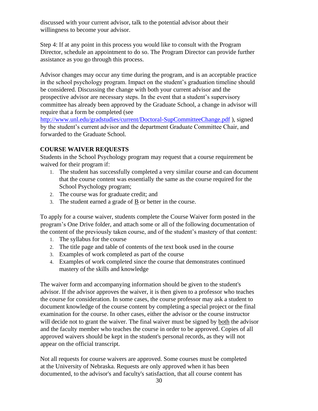discussed with your current advisor, talk to the potential advisor about their willingness to become your advisor.

Step 4: If at any point in this process you would like to consult with the Program Director, schedule an appointment to do so. The Program Director can provide further assistance as you go through this process.

Advisor changes may occur any time during the program, and is an acceptable practice in the school psychology program. Impact on the student's graduation timeline should be considered. Discussing the change with both your current advisor and the prospective advisor are necessary steps. In the event that a student's supervisory committee has already been approved by the Graduate School, a change in advisor will require that a form be completed (see

<http://www.unl.edu/gradstudies/current/Doctoral-SupCommitteeChange.pdf> ), signed by the student's current advisor and the department Graduate Committee Chair, and forwarded to the Graduate School.

## **COURSE WAIVER REQUESTS**

Students in the School Psychology program may request that a course requirement be waived for their program if:

- 1. The student has successfully completed a very similar course and can document that the course content was essentially the same as the course required for the School Psychology program;
- 2. The course was for graduate credit; and
- 3. The student earned a grade of B or better in the course.

To apply for a course waiver, students complete the Course Waiver form posted in the program's One Drive folder, and attach some or all of the following documentation of the content of the previously taken course, and of the student's mastery of that content:

- 1. The syllabus for the course
- 2. The title page and table of contents of the text book used in the course
- 3. Examples of work completed as part of the course
- 4. Examples of work completed since the course that demonstrates continued mastery of the skills and knowledge

The waiver form and accompanying information should be given to the student's advisor. If the advisor approves the waiver, it is then given to a professor who teaches the course for consideration. In some cases, the course professor may ask a student to document knowledge of the course content by completing a special project or the final examination for the course. In other cases, either the advisor or the course instructor will decide not to grant the waiver. The final waiver must be signed by both the advisor and the faculty member who teaches the course in order to be approved. Copies of all approved waivers should be kept in the student's personal records, as they will not appear on the official transcript.

Not all requests for course waivers are approved. Some courses must be completed at the University of Nebraska. Requests are only approved when it has been documented, to the advisor's and faculty's satisfaction, that all course content has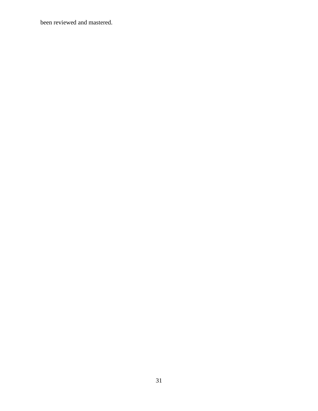been reviewed and mastered.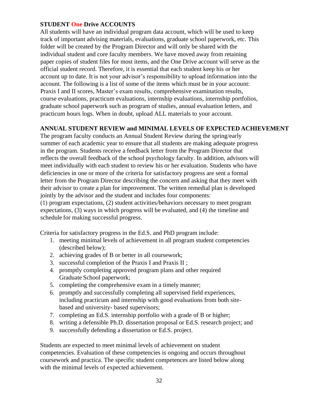## **STUDENT One Drive ACCOUNTS**

All students will have an individual program data account, which will be used to keep track of important advising materials, evaluations, graduate school paperwork, etc. This folder will be created by the Program Director and will only be shared with the individual student and core faculty members. We have moved away from retaining paper copies of student files for most items, and the One Drive account will serve as the official student record. Therefore, it is essential that each student keep his or her account up to date. It is not your advisor's responsibility to upload information into the account. The following is a list of some of the items which must be in your account: Praxis I and II scores, Master's exam results, comprehensive examination results, course evaluations, practicum evaluations, internship evaluations, internship portfolios, graduate school paperwork such as program of studies, annual evaluation letters, and practicum hours logs. When in doubt, upload ALL materials to your account.

## **ANNUAL STUDENT REVIEW and MINIMAL LEVELS OF EXPECTED ACHIEVEMENT**

The program faculty conducts an Annual Student Review during the spring/early summer of each academic year to ensure that all students are making adequate progress in the program. Students receive a feedback letter from the Program Director that reflects the overall feedback of the school psychology faculty. In addition, advisors will meet individually with each student to review his or her evaluation. Students who have deficiencies in one or more of the criteria for satisfactory progress are sent a formal letter from the Program Director describing the concern and asking that they meet with their advisor to create a plan for improvement. The written remedial plan is developed jointly by the advisor and the student and includes four components: (1) program expectations, (2) student activities/behaviors necessary to meet program expectations, (3) ways in which progress will be evaluated, and (4) the timeline and

schedule for making successful progress.

Criteria for satisfactory progress in the Ed.S. and PhD program include:

- 1. meeting minimal levels of achievement in all program student competencies (described below);
- 2. achieving grades of B or better in all coursework;
- 3. successful completion of the Praxis I and Praxis II ;
- 4. promptly completing approved program plans and other required Graduate School paperwork;
- 5. completing the comprehensive exam in a timely manner;
- 6. promptly and successfully completing all supervised field experiences, including practicum and internship with good evaluations from both sitebased and university- based supervisors;
- 7. completing an Ed.S. internship portfolio with a grade of B or higher;
- 8. writing a defensible Ph.D. dissertation proposal or Ed.S. research project; and
- 9. successfully defending a dissertation or Ed.S. project.

Students are expected to meet minimal levels of achievement on student competencies. Evaluation of these competencies is ongoing and occurs throughout coursework and practica. The specific student competences are listed below along with the minimal levels of expected achievement.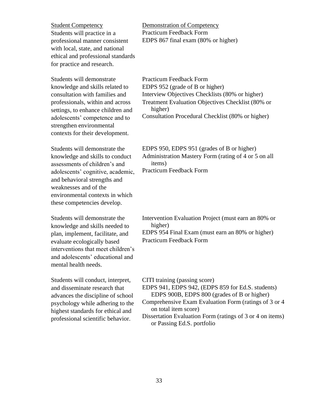Student Competency Demonstration of Competency Students will practice in a professional manner consistent with local, state, and national ethical and professional standards for practice and research.

Students will demonstrate knowledge and skills related to consultation with families and professionals, within and across settings, to enhance children and adolescents' competence and to strengthen environmental contexts for their development.

Students will demonstrate the knowledge and skills to conduct assessments of children's and adolescents' cognitive, academic, and behavioral strengths and weaknesses and of the environmental contexts in which these competencies develop.

Students will demonstrate the knowledge and skills needed to plan, implement, facilitate, and evaluate ecologically based interventions that meet children's and adolescents' educational and mental health needs.

Students will conduct, interpret, and disseminate research that advances the discipline of school psychology while adhering to the highest standards for ethical and professional scientific behavior.

Practicum Feedback Form EDPS 867 final exam (80% or higher)

Practicum Feedback Form EDPS 952 (grade of B or higher) Interview Objectives Checklists (80% or higher) Treatment Evaluation Objectives Checklist (80% or higher) Consultation Procedural Checklist (80% or higher)

EDPS 950, EDPS 951 (grades of B or higher) Administration Mastery Form (rating of 4 or 5 on all items) Practicum Feedback Form

Intervention Evaluation Project (must earn an 80% or higher) EDPS 954 Final Exam (must earn an 80% or higher) Practicum Feedback Form

CITI training (passing score)

- EDPS 941, EDPS 942, (EDPS 859 for Ed.S. students) EDPS 900B, EDPS 800 (grades of B or higher)
- Comprehensive Exam Evaluation Form (ratings of 3 or 4 on total item score)
- Dissertation Evaluation Form (ratings of 3 or 4 on items) or Passing Ed.S. portfolio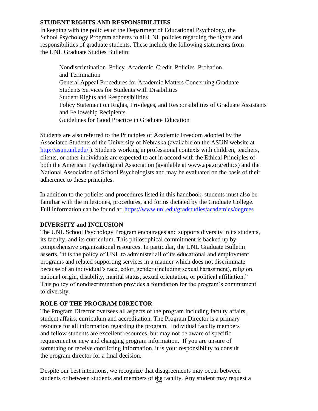## **STUDENT RIGHTS AND RESPONSIBILITIES**

In keeping with the policies of the Department of Educational Psychology, the School Psychology Program adheres to all UNL policies regarding the rights and responsibilities of graduate students. These include the following statements from the UNL Graduate Studies Bulletin:

Nondiscrimination Policy Academic Credit Policies Probation and Termination General Appeal Procedures for Academic Matters Concerning Graduate Students Services for Students with Disabilities Student Rights and Responsibilities Policy Statement on Rights, Privileges, and Responsibilities of Graduate Assistants and Fellowship Recipients Guidelines for Good Practice in Graduate Education

Students are also referred to the Principles of Academic Freedom adopted by the Associated Students of the University of Nebraska (available on the ASUN website at <http://asun.unl.edu/>). Students working in professional contexts with children, teachers, clients, or other individuals are expected to act in accord with the Ethical Principles of both the American Psychological Association (available at [www.apa.org/ethics\) a](http://www.apa.org/ethics))nd the National Association of School Psychologists and may be evaluated on the basis of their adherence to these principles.

In addition to the policies and procedures listed in this handbook, students must also be familiar with the milestones, procedures, and forms dictated by the Graduate College. Full information can be found at:<https://www.unl.edu/gradstudies/academics/degrees>

## **DIVERSITY and INCLUSION**

The UNL School Psychology Program encourages and supports diversity in its students, its faculty, and its curriculum. This philosophical commitment is backed up by comprehensive organizational resources. In particular, the UNL Graduate Bulletin asserts, "it is the policy of UNL to administer all of its educational and employment programs and related supporting services in a manner which does not discriminate because of an individual's race, color, gender (including sexual harassment), religion, national origin, disability, marital status, sexual orientation, or political affiliation." This policy of nondiscrimination provides a foundation for the program's commitment to diversity.

## **ROLE OF THE PROGRAM DIRECTOR**

The Program Director oversees all aspects of the program including faculty affairs, student affairs, curriculum and accreditation. The Program Director is a primary resource for all information regarding the program. Individual faculty members and fellow students are excellent resources, but may not be aware of specific requirement or new and changing program information. If you are unsure of something or receive conflicting information, it is your responsibility to consult the program director for a final decision.

students or between students and members of the faculty. Any student may request a Despite our best intentions, we recognize that disagreements may occur between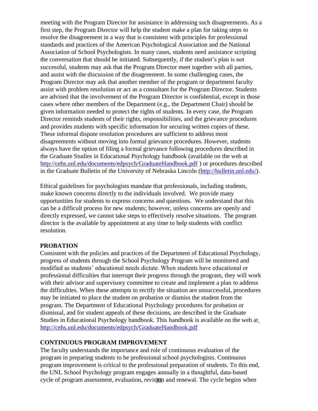meeting with the Program Director for assistance in addressing such disagreements. As a first step, the Program Director will help the student make a plan for taking steps to resolve the disagreement in a way that is consistent with principles for professional standards and practices of the American Psychological Association and the National Association of School Psychologists. In many cases, students need assistance scripting the conversation that should be initiated. Subsequently, if the student's plan is not successful, students may ask that the Program Director meet together with all parties, and assist with the discussion of the disagreement. In some challenging cases, the Program Director may ask that another member of the program or department faculty assist with problem resolution or act as a consultant for the Program Director. Students are advised that the involvement of the Program Director is confidential, except in those cases where other members of the Department (e.g., the Department Chair) should be given information needed to protect the rights of students. In every case, the Program Director reminds students of their rights, responsibilities, and the grievance procedures and provides students with specific information for securing written copies of these. These informal dispute resolution procedures are sufficient to address most disagreements without moving into formal grievance procedures. However, students always have the option of filing a formal grievance following procedures described in the Graduate Studies in Educational Psychology handbook (available on the web at <http://cehs.unl.edu/documents/edpsych/GraduateHandbook.pdf> ) or procedures described in the Graduate Bulletin of the University of Nebraska Lincoln [\(http://bulletin.unl.edu/\).](http://bulletin.unl.edu/)

Ethical guidelines for psychologists mandate that professionals, including students, make known concerns directly to the individuals involved. We provide many opportunities for students to express concerns and questions. We understand that this can be a difficult process for new students; however, unless concerns are openly and directly expressed, we cannot take steps to effectively resolve situations. The program director is the available by appointment at any time to help students with conflict resolution.

## **PROBATION**

Consistent with the policies and practices of the Department of Educational Psychology, progress of students through the School Psychology Program will be monitored and modified as students' educational needs dictate. When students have educational or professional difficulties that interrupt their progress through the program, they will work with their advisor and supervisory committee to create and implement a plan to address the difficulties. When these attempts to rectify the situation are unsuccessful, procedures may be initiated to place the student on probation or dismiss the student from the program. The Department of Educational Psychology procedures for probation or dismissal, and for student appeals of these decisions, are described in the Graduate Studies in Educational Psychology handbook. This handbook is available on the web a[t](http://cehs.unl.edu/documents/edpsych/GraduateHandbook.pdf) <http://cehs.unl.edu/documents/edpsych/GraduateHandbook.pdf>

#### **CONTINUOUS PROGRAM IMPROVEMENT**

cycle of program assessment, evaluation, revisign and renewal. The cycle begins when The faculty understands the importance and role of continuous evaluation of the program in preparing students to be professional school psychologists. Continuous program improvement is critical to the professional preparation of students. To this end, the UNL School Psychology program engages annually in a thoughtful, data-based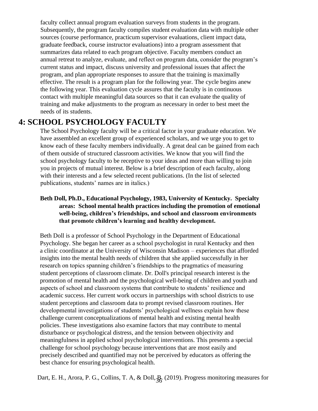faculty collect annual program evaluation surveys from students in the program. Subsequently, the program faculty compiles student evaluation data with multiple other sources (course performance, practicum supervisor evaluations, client impact data, graduate feedback, course instructor evaluations) into a program assessment that summarizes data related to each program objective. Faculty members conduct an annual retreat to analyze, evaluate, and reflect on program data, consider the program's current status and impact, discuss university and professional issues that affect the program, and plan appropriate responses to assure that the training is maximally effective. The result is a program plan for the following year. The cycle begins anew the following year. This evaluation cycle assures that the faculty is in continuous contact with multiple meaningful data sources so that it can evaluate the quality of training and make adjustments to the program as necessary in order to best meet the needs of its students.

## **4: SCHOOL PSYCHOLOGY FACULTY**

The School Psychology faculty will be a critical factor in your graduate education. We have assembled an excellent group of experienced scholars, and we urge you to get to know each of these faculty members individually. A great deal can be gained from each of them outside of structured classroom activities. We know that you will find the school psychology faculty to be receptive to your ideas and more than willing to join you in projects of mutual interest. Below is a brief description of each faculty, along with their interests and a few selected recent publications. (In the list of selected publications, students' names are in italics.)

## **Beth Doll, Ph.D., Educational Psychology, 1983, University of Kentucky. Specialty areas: School mental health practices including the promotion of emotional well-being, children's friendships, and school and classroom environments that promote children's learning and healthy development.**

Beth Doll is a professor of School Psychology in the Department of Educational Psychology. She began her career as a school psychologist in rural Kentucky and then a clinic coordinator at the University of Wisconsin Madison – experiences that afforded insights into the mental health needs of children that she applied successfully in her research on topics spanning children's friendships to the pragmatics of measuring student perceptions of classroom climate. Dr. Doll's principal research interest is the promotion of mental health and the psychological well-being of children and youth and aspects of school and classroom systems that contribute to students' resilience and academic success. Her current work occurs in partnerships with school districts to use student perceptions and classroom data to prompt revised classroom routines. Her developmental investigations of students' psychological wellness explain how these challenge current conceptualizations of mental health and existing mental health policies. These investigations also examine factors that may contribute to mental disturbance or psychological distress, and the tension between objectivity and meaningfulness in applied school psychological interventions. This presents a special challenge for school psychology because interventions that are most easily and precisely described and quantified may not be perceived by educators as offering the best chance for ensuring psychological health.

Dart, E. H., Arora, P. G., Collins, T. A, & Doll,  $\frac{1}{36}$  (2019). Progress monitoring measures for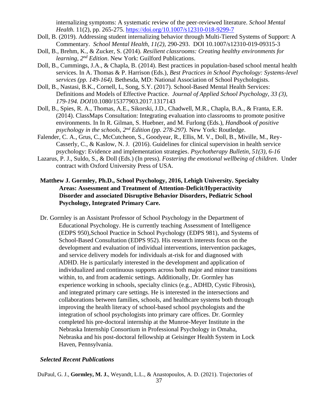internalizing symptoms: A systematic review of the peer-reviewed literature. *School Mental Health*. 11(2), pp. 265-275.<https://doi.org/10.1007/s12310-018-9299-7>

- Doll, B. (2019). Addressing student internalizing behavior through Multi-Tiered Systems of Support: A Commentary. *School Mental Health, 11(2),* 290-293. DOI 10.1007/s12310-019-09315-3
- Doll, B., Brehm, K., & Zucker, S. (2014). *Resilient classrooms: Creating healthy environments for learning, 2nd Edition*. New York: Guilford Publications.
- Doll, B., Cummings, J.A., & Chapla, B. (2014). Best practices in population-based school mental health services. In A. Thomas & P. Harrison (Eds.), *Best Practices in School Psychology: Systems-level services (pp. 149-164).* Bethesda, MD: National Association of School Psychologists.
- Doll, B., Nastasi, B.K., Cornell, L, Song, S.Y. (2017). School-Based Mental Health Services: Definitions and Models of Effective Practice. *Journal of Applied School Psychology, 33 (3), 179-194. DOI*10.1080/15377903.2017.1317143
- Doll, B., Spies, R. A., Thomas, A.E., Sikorski, J.D., Chadwell, M.R., Chapla, B.A., & Franta, E.R. (2014). ClassMaps Consultation: Integrating evaluation into classrooms to promote positive environments. In In R. Gilman, S. Huebner, and M. Furlong (Eds.), *Handbook of positive psychology in the schools, 2nd Edition (pp. 278-297).* New York: Routledge.
- Falender, C. A., Grus, C., McCutcheon, S., Goodyear, R., Ellis, M. V., Doll, B., Miville, M., Rey-Casserly, C., & Kaslow, N. J. (2016). Guidelines for clinical supervision in health service psychology: Evidence and implementation strategies. *Psychotherapy Bulletin, 51(3), 6-16*
- Lazarus, P. J., Suldo, S., & Doll (Eds.) (In press). *Fostering the emotional wellbeing of children*. Under contract with Oxford University Press of USA.
- **Matthew J. Gormley, Ph.D., School Psychology, 2016, Lehigh University. Specialty Areas: Assessment and Treatment of Attention-Deficit/Hyperactivity Disorder and associated Disruptive Behavior Disorders, Pediatric School Psychology, Integrated Primary Care.**
- Dr. Gormley is an Assistant Professor of School Psychology in the Department of Educational Psychology. He is currently teaching Assessment of Intelligence (EDPS 950),School Practice in School Psychology (EDPS 981), and Systems of School-Based Consultation (EDPS 952). His research interests focus on the development and evaluation of individual interventions, intervention packages, and service delivery models for individuals at-risk for and diagnosed with ADHD. He is particularly interested in the development and application of individualized and continuous supports across both major and minor transitions within, to, and from academic settings. Additionally, Dr. Gormley has experience working in schools, specialty clinics (e.g., ADHD, Cystic Fibrosis), and integrated primary care settings. He is interested in the intersections and collaborations between families, schools, and healthcare systems both through improving the health literacy of school-based school psychologists and the integration of school psychologists into primary care offices. Dr. Gormley completed his pre-doctoral internship at the Munroe-Meyer Institute in the Nebraska Internship Consortium in Professional Psychology in Omaha, Nebraska and his post-doctoral fellowship at Geisinger Health System in Lock Haven, Pennsylvania.

## *Selected Recent Publications*

DuPaul, G. J., **Gormley, M. J.**, Weyandt, L.L., & Anastopoulos, A. D. (2021). Trajectories of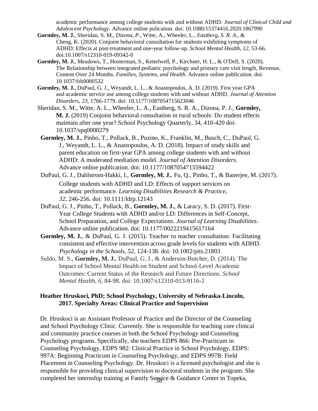academic performance among college students with and without ADHD. *Journal of Clinical Child and Adolescent Psychology*. Advance online pulication. doi: 10.1080/15374416.2020.1867990

- **Gormley, M. J.**, Sheridan, S. M., *Dizona, P*., Witte, A., Wheeler, L., *Eastberg, S. R. A.*, & Cheng, K. (2020). Conjoint behavioral consultation for students exhibiting symptoms of ADHD: Effects at post-treatment and one-year follow-up. *School Mental Health, 12*, 53-66. doi:10.1007/s12310-019-09342-0
- **Gormley, M. J.**, Meadows, T., Hosterman, S., Kettelwell, P., Kirchner, H. L., & O'Dell, S. (2020). The Relationship between integrated pediatric psychology and primary care visit length, Revenue, Content Over 24 Months. *Families, Systems, and Health*. Advance online publication. doi: 10.1037/fsh0000532
- **Gormley, M. J.**, DuPaul, G. J., Weyandt, L. L., & Anastopoulos, A. D. (2019). First year GPA and academic service use among college students with and without ADHD. *Journal of Attention Disorders, 23,* 1766-1779. doi: 10.1177/1087054715623046
- Sheridan, S. M., Witte, A. L., Wheeler, L. A., Eastberg, S. R. A., Dizona, P. J., **Gormley, M. J.** (2019) Conjoint behavioral consultation in rural schools: Do student effects maintain after one year? School Psychology Quarterly, 34, 410-420 doi: 10.1037/spq0000279
- **Gormley, M. J.**, Pinho, T., Pollack, B., Puzino, K., Franklin, M., Busch, C., DuPaul, G. J., Weyandt, L. L., & Anastopoulos, A. D. (2018). Impact of study skills and parent education on first-year GPA among college students with and without ADHD: A moderated mediation model. *Journal of Attention Disorders*. Advance online publication. doi: 10.1177/1087054715594422
- DuPaul, G. J., Dahlstrom-Hakki, I., **Gormley, M. J.**, Fu, Q., Pinho, T., & Banerjee, M. (2017). College students with ADHD and LD: Effects of support services on academic performance. *Learning Disabilities Research & Practice, 32*, 246-256. doi: 10.1111/ldrp.12143
- DuPaul, G. J., Pinho, T., Pollack, B., **Gormley, M. J.**, & Laracy, S. D. (2017). First-Year College Students with ADHD and/or LD: Differences in Self-Concept, School Preparation, and College Expectations. *Journal of Learning Disabilities*. Advance online publication. doi: 10.1177/0022219415617164
- Gormley, M. J., & DuPaul, G. J. (2015). Teacher to teacher consultation: Facilitating consistent and effective intervention across grade levels for students with ADHD. *Psychology in the Schools, 52*, 124-138. doi: 10.1002/pits.21803
- Suldo, M. S., **Gormley, M. J.**, DuPaul, G. J., & Anderson-Butcher, D. (2014). The Impact of School Mental Health on Student and School-Level Academic Outcomes: Current Status of the Research and Future Directions. *School Mental Health*, *6*, 84-98. doi: 10.1007/s12310-013-9116-2

## **Heather Hruskoci, PhD; School Psychology, University of Nebraska-Lincoln, 2017. Specialty Areas: Clinical Practice and Supervision**

completed her internship training at Family Service & Guidance Center in Topeka, Dr. Hruskoci is an Assistant Professor of Practice and the Director of the Counseling and School Psychology Clinic. Currently. She is responsible for teaching core clinical and community practice courses in both the School Psychology and Counseling Psychology programs. Specifically, she teachers EDPS 866: Pre-Practicum in Counseling Psychology, EDPS 982: Clinical Practice in School Psychology, EDPS: 997A: Beginning Practicum in Counseling Psychology, and EDPS 997B: Field Placement in Counseling Psychology. Dr. Hruskoci is a licensed psychologist and she is responsible for providing clinical supervision to doctoral students in the program. She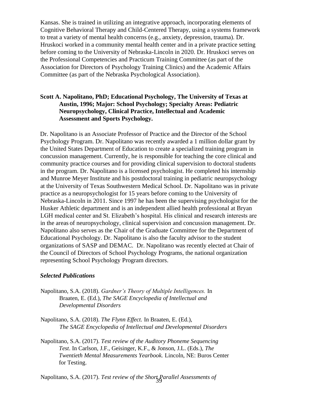Kansas. She is trained in utilizing an integrative approach, incorporating elements of Cognitive Behavioral Therapy and Child-Centered Therapy, using a systems framework to treat a variety of mental health concerns (e.g., anxiety, depression, trauma). Dr. Hruskoci worked in a community mental health center and in a private practice setting before coming to the University of Nebraska-Lincoln in 2020. Dr. Hruskoci serves on the Professional Competencies and Practicum Training Committee (as part of the Association for Directors of Psychology Training Clinics) and the Academic Affairs Committee (as part of the Nebraska Psychological Association).

## **Scott A. Napolitano, PhD; Educational Psychology, The University of Texas at Austin, 1996; Major: School Psychology; Specialty Areas: Pediatric Neuropsychology, Clinical Practice, Intellectual and Academic Assessment and Sports Psychology.**

Dr. Napolitano is an Associate Professor of Practice and the Director of the School Psychology Program. Dr. Napolitano was recently awarded a 1 million dollar grant by the United States Department of Education to create a specialized training program in concussion management. Currently, he is responsible for teaching the core clinical and community practice courses and for providing clinical supervision to doctoral students in the program. Dr. Napolitano is a licensed psychologist. He completed his internship and Munroe Meyer Institute and his postdoctoral training in pediatric neuropsychology at the University of Texas Southwestern Medical School. Dr. Napolitano was in private practice as a neuropsychologist for 15 years before coming to the University of Nebraska-Lincoln in 2011. Since 1997 he has been the supervising psychologist for the Husker Athletic department and is an independent allied health professional at Bryan LGH medical center and St. Elizabeth's hospital. His clinical and research interests are in the areas of neuropsychology, clinical supervision and concussion management. Dr. Napolitano also serves as the Chair of the Graduate Committee for the Department of Educational Psychology. Dr. Napolitano is also the faculty advisor to the student organizations of SASP and DEMAC. Dr. Napolitano was recently elected at Chair of the Council of Directors of School Psychology Programs, the national organization representing School Psychology Program directors.

## *Selected Publications*

- Napolitano, S.A. (2018). *Gardner's Theory of Multiple Intelligences.* In Braaten, E. (Ed.), *The SAGE Encyclopedia of Intellectual and Developmental Disorders*
- Napolitano, S.A. (2018). *The Flynn Effect.* In Braaten, E. (Ed.), *The SAGE Encyclopedia of Intellectual and Developmental Disorders*

Napolitano, S.A. (2017). *Test review of the Auditory Phoneme Sequencing Test*. In Carlson, J.F., Geisinger, K.F., & Jonson, J.L. (Eds.), *The Twentieth Mental Measurements Yearbook.* Lincoln, NE: Buros Center for Testing.

39 Napolitano, S.A. (2017). *Test review of the Short Parallel Assessments of*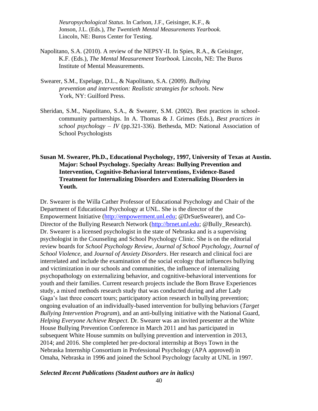*Neuropsychological Status*. In Carlson, J.F., Geisinger, K.F., & Jonson, J.L. (Eds.), *The Twentieth Mental Measurements Yearbook.*  Lincoln, NE: Buros Center for Testing.

- Napolitano, S.A. (2010). A review of the NEPSY-II. In Spies, R.A., & Geisinger, K.F. (Eds.), *The Mental Measurement Yearbook.* Lincoln, NE: The Buros Institute of Mental Measurements.
- Swearer, S.M., Espelage, D.L., & Napolitano, S.A. (2009). *Bullying prevention and intervention: Realistic strategies for schools.* New York, NY: Guilford Press.
- Sheridan, S.M., Napolitano, S.A., & Swearer, S.M. (2002). Best practices in schoolcommunity partnerships. In A. Thomas & J. Grimes (Eds.), *Best practices in school psychology – IV* (pp.321-336). Bethesda, MD: National Association of School Psychologists

## **Susan M. Swearer, Ph.D., Educational Psychology, 1997, University of Texas at Austin. Major: School Psychology. Specialty Areas: Bullying Prevention and Intervention, Cognitive-Behavioral Interventions, Evidence-Based Treatment for Internalizing Disorders and Externalizing Disorders in Youth.**

Dr. Swearer is the Willa Cather Professor of Educational Psychology and Chair of the Department of Educational Psychology at UNL. She is the director of the Empowerment Initiative [\(http://empowerment.unl.edu; @](http://empowerment.unl.edu/)DrSueSwearer), and Co-Director of the Bullying Research Network [\(http://brnet.unl.edu; @](http://brnet.unl.edu/)Bully\_Research). Dr. Swearer is a licensed psychologist in the state of Nebraska and is a supervising psychologist in the Counseling and School Psychology Clinic. She is on the editorial review boards for *School Psychology Review, Journal of School Psychology, Journal of School Violence,* and *Journal of Anxiety Disorders*. Her research and clinical foci are interrelated and include the examination of the social ecology that influences bullying and victimization in our schools and communities, the influence of internalizing psychopathology on externalizing behavior, and cognitive-behavioral interventions for youth and their families. Current research projects include the Born Brave Experiences study, a mixed methods research study that was conducted during and after Lady Gaga's last three concert tours; participatory action research in bullying prevention; ongoing evaluation of an individually-based intervention for bullying behaviors (*Target Bullying Intervention Program*), and an anti-bullying initiative with the National Guard, *Helping Everyone Achieve Respect*. Dr. Swearer was an invited presenter at the White House Bullying Prevention Conference in March 2011 and has participated in subsequent White House summits on bullying prevention and intervention in 2013, 2014; and 2016. She completed her pre-doctoral internship at Boys Town in the Nebraska Internship Consortium in Professional Psychology (APA approved) in Omaha, Nebraska in 1996 and joined the School Psychology faculty at UNL in 1997.

#### *Selected Recent Publications (Student authors are in italics)*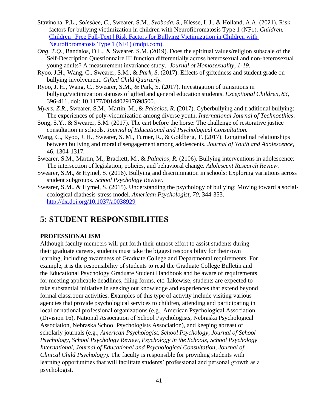- Stavinoha, P.L., *Solesbee, C*., Swearer, S.M., *Svoboda, S.,* Klesse, L.J., & Holland, A.A. (2021). Risk factors for bullying victimization in children with Neurofibromatosis Type 1 (NF1). *Children.* [Children | Free Full-Text | Risk Factors for Bullying Victimization in Children with](https://www.mdpi.com/2227-9067/8/2/145)  [Neurofibromatosis Type 1 \(NF1\) \(mdpi.com\).](https://www.mdpi.com/2227-9067/8/2/145)
- *Ong, T.Q*., Bandalos, D.L., & Swearer, S.M. (2019). Does the spiritual values/religion subscale of the Self-Description Questionnaire III function differentially across heterosexual and non-heterosexual young adults? A measurement invariance study. *Journal of Homosexuality, 1-19.*
- Ryoo, J.H., Wang, C., Swearer, S.M., & *Park, S*. (2017). Effects of giftedness and student grade on bullying involvement. *Gifted Child Quarterly.*
- Ryoo, J. H., Wang, C., Swearer, S.M., & Park, S. (2017). Investigation of transitions in bullying/victimization statuses of gifted and general education students. *Exceptional Children, 83,*  396-411. doi: 10.1177/0014402917698500.
- *Myers, Z.R*., Swearer, S.M., Martin, M., & *Palacios, R*. (2017). Cyberbullying and traditional bullying: The experiences of poly-victimization among diverse youth. *International Journal of Technoethics*.
- Song, S.Y., & Swearer, S.M. (2017). The cart before the horse: The challenge of restorative justice consultation in schools. *Journal of Educational and Psychological Consultation.*
- Wang, C., Ryoo, J. H., Swearer, S. M., Turner, R., & Goldberg, T. (2017). Longitudinal relationships between bullying and moral disengagement among adolescents. *Journal of Youth and Adolescence*, 46, 1304-1317.
- Swearer, S.M., Martin, M., Brackett, M., & *Palacios, R.* (2106). Bullying interventions in adolescence: The intersection of legislation, policies, and behavioral change. *Adolescent Research Review.*
- Swearer, S.M., & Hymel, S. (2016). Bullying and discrimination in schools: Exploring variations across student subgroups. *School Psychology Review*.
- Swearer, S.M., & Hymel, S. (2015). Understanding the psychology of bullying: Moving toward a socialecological diathesis-stress model. *American Psychologist, 70,* 344-353. <http://dx.doi.org/10.1037/a0038929>

## **5: STUDENT RESPONSIBILITIES**

## **PROFESSIONALISM**

Although faculty members will put forth their utmost effort to assist students during their graduate careers, students must take the biggest responsibility for their own learning, including awareness of Graduate College and Departmental requirements. For example, it is the responsibility of students to read the Graduate College Bulletin and the Educational Psychology Graduate Student Handbook and be aware of requirements for meeting applicable deadlines, filing forms, etc. Likewise, students are expected to take substantial initiative in seeking out knowledge and experiences that extend beyond formal classroom activities. Examples of this type of activity include visiting various agencies that provide psychological services to children, attending and participating in local or national professional organizations (e.g., American Psychological Association (Division 16), National Association of School Psychologists, Nebraska Psychological Association, Nebraska School Psychologists Association), and keeping abreast of scholarly journals (e.g., *American Psychologist, School Psychology, Journal of School Psychology, School Psychology Review, Psychology in the Schools, School Psychology International, Journal of Educational and Psychological Consultation, Journal of Clinical Child Psychology*). The faculty is responsible for providing students with learning opportunities that will facilitate students' professional and personal growth as a psychologist.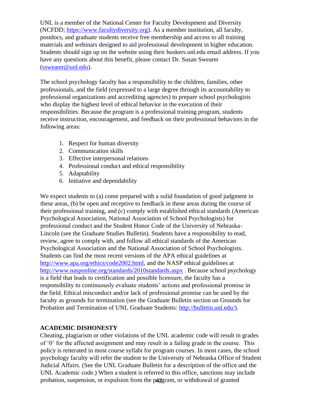UNL is a member of the National Center for Faculty Development and Diversity (NCFDD; [https://www.facultydiversity.org\)](https://www.facultydiversity.org/). As a member institution, all faculty, postdocs, and graduate students receive free membership and access to all training materials and webinars designed to aid professional development in higher education. Students should sign up on the website using their huskers.unl.edu email address. If you have any questions about this benefit, please contact Dr. Susan Swearer [\(sswearer@unl.edu\)](mailto:sswearer@unl.edu).

The school psychology faculty has a responsibility to the children, families, other professionals, and the field (expressed to a large degree through its accountability to professional organizations and accrediting agencies) to prepare school psychologists who display the highest level of ethical behavior in the execution of their responsibilities. Because the program is a professional training program, students receive instruction, encouragement, and feedback on their professional behaviors in the following areas:

- 1. Respect for human diversity
- 2. Communication skills
- 3. Effective interpersonal relations
- 4. Professional conduct and ethical responsibility
- 5. Adaptability
- 6. Initiative and dependability

We expect students to (a) come prepared with a solid foundation of good judgment in these areas, (b) be open and receptive to feedback in these areas during the course of their professional training, and (c) comply with established ethical standards (American Psychological Association, National Association of School Psychologists) for professional conduct and the Student Honor Code of the University of Nebraska-Lincoln (see the Graduate Studies Bulletin). Students have a responsibility to read, review, agree to comply with, and follow all ethical standards of the American Psychological Association and the National Association of School Psychologists. Students can find the most recent versions of the APA ethical guidelines at [http://www.apa.org/ethics/code2002.html,](http://www.apa.org/ethics/code2002.html) and the NASP ethical guidelines at <http://www.nasponline.org/standards/2010standards.aspx> . Because school psychology is a field that leads to certification and possible licensure, the faculty has a responsibility to continuously evaluate students' actions and professional promise in the field. Ethical misconduct and/or lack of professional promise can be used by the faculty as grounds for termination (see the Graduate Bulletin section on Grounds for Probation and Termination of UNL Graduate Students: [http://bulletin.unl.edu/\).](http://bulletin.unl.edu/)

## **ACADEMIC DISHONESTY**

probation, suspension, or expulsion from the production, or withdrawal of granted Cheating, plagiarism or other violations of the UNL academic code will result in grades of '0' for the affected assignment and may result in a failing grade in the course. This policy is reiterated in most course syllabi for program courses. In most cases, the school psychology faculty will refer the student to the University of Nebraska Office of Student Judicial Affairs. (See the UNL Graduate Bulletin for a description of the office and the UNL Academic code.) When a student is referred to this office, sanctions may include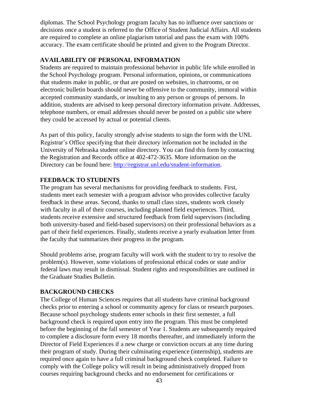diplomas. The School Psychology program faculty has no influence over sanctions or decisions once a student is referred to the Office of Student Judicial Affairs. All students are required to complete an online plagiarism tutorial and pass the exam with 100% accuracy. The exam certificate should be printed and given to the Program Director.

## **AVAILABILITY OF PERSONAL INFORMATION**

Students are required to maintain professional behavior in public life while enrolled in the School Psychology program. Personal information, opinions, or communications that students make in public, or that are posted on websites, in chatrooms, or on electronic bulletin boards should never be offensive to the community, immoral within accepted community standards, or insulting to any person or groups of persons. In addition, students are advised to keep personal directory information private. Addresses, telephone numbers, or email addresses should never be posted on a public site where they could be accessed by actual or potential clients.

As part of this policy, faculty strongly advise students to sign the form with the UNL Registrar's Office specifying that their directory information not be included in the University of Nebraska student online directory. You can find this form by contacting the Registration and Records office at 402-472-3635. More information on the Directory can be found here: [http://registrar.unl.edu/student-information.](http://registrar.unl.edu/student-information)

## **FEEDBACK TO STUDENTS**

The program has several mechanisms for providing feedback to students. First, students meet each semester with a program advisor who provides collective faculty feedback in these areas. Second, thanks to small class sizes, students work closely with faculty in all of their courses, including planned field experiences. Third, students receive extensive and structured feedback from field supervisors (including both university-based and field-based supervisors) on their professional behaviors as a part of their field experiences. Finally, students receive a yearly evaluation letter from the faculty that summarizes their progress in the program.

Should problems arise, program faculty will work with the student to try to resolve the problem(s). However, some violations of professional ethical codes or state and/or federal laws may result in dismissal. Student rights and responsibilities are outlined in the Graduate Studies Bulletin.

## **BACKGROUND CHECKS**

The College of Human Sciences requires that all students have criminal background checks prior to entering a school or community agency for class or research purposes. Because school psychology students enter schools in their first semester, a full background check is required upon entry into the program. This must be completed before the beginning of the fall semester of Year 1. Students are subsequently required to complete a disclosure form every 18 months thereafter, and immediately inform the Director of Field Experiences if a new charge or conviction occurs at any time during their program of study. During their culminating experience (internship), students are required once again to have a full criminal background check completed. Failure to comply with the College policy will result in being administratively dropped from courses requiring background checks and no endorsement for certifications or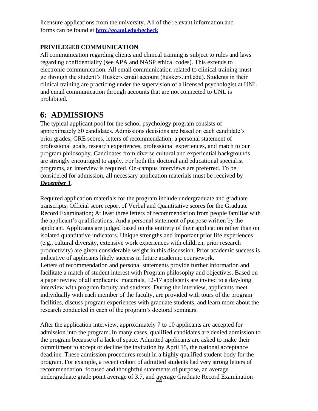licensure applications from the university. All of the relevant information and forms can be found at **<http://go.unl.edu/bgcheck>**

## **PRIVILEGED COMMUNICATION**

All communication regarding clients and clinical training is subject to rules and laws regarding confidentiality (see APA and NASP ethical codes). This extends to electronic communication. All email communication related to clinical training must go through the student's Huskers email account (huskers.unl.edu). Students in their clinical training are practicing under the supervision of a licensed psychologist at UNL and email communication through accounts that are not connected to UNL is prohibited.

## **6: ADMISSIONS**

The typical applicant pool for the school psychology program consists of approximately 50 candidates. Admissions decisions are based on each candidate's prior grades, GRE scores, letters of recommendation, a personal statement of professional goals, research experiences, professional experiences, and match to our program philosophy. Candidates from diverse cultural and experiential backgrounds are strongly encouraged to apply. For both the doctoral and educational specialist programs, an interview is required. On-campus interviews are preferred. To be considered for admission, all necessary application materials must be received by *December 1*.

Required application materials for the program include undergraduate and graduate transcripts; Official score report of Verbal and Quantitative scores for the Graduate Record Examination; At least three letters of recommendation from people familiar with the applicant's qualifications; And a personal statement of purpose written by the applicant. Applicants are judged based on the entirety of their application rather than on isolated quantitative indicators. Unique strengths and important prior life experiences (e.g., cultural diversity, extensive work experiences with children, prior research productivity) are given considerable weight in this discussion. Prior academic success is indicative of applicants likely success in future academic coursework. Letters of recommendation and personal statements provide further information and facilitate a match of student interest with Program philosophy and objectives. Based on a paper review of all applicants' materials, 12-17 applicants are invited to a day-long interview with program faculty and students. During the interview, applicants meet individually with each member of the faculty, are provided with tours of the program facilities, discuss program experiences with graduate students, and learn more about the research conducted in each of the program's doctoral seminars.

undergraduate grade point average of 3.7, and average Graduate Record Examination After the application interview, approximately 7 to 10 applicants are accepted for admission into the program. In many cases, qualified candidates are denied admission to the program because of a lack of space. Admitted applicants are asked to make their commitment to accept or decline the invitation by April 15, the national acceptance deadline. These admission procedures result in a highly qualified student body for the program. For example, a recent cohort of admitted students had very strong letters of recommendation, focused and thoughtful statements of purpose, an average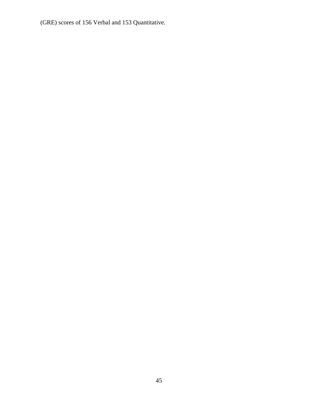(GRE) scores of 156 Verbal and 153 Quantitative.